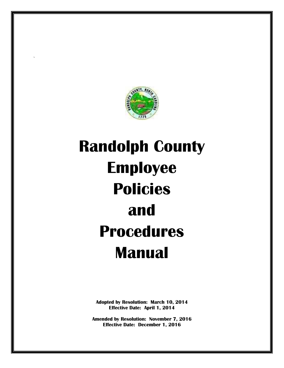

`

# **Randolph County Employee Policies and Procedures Manual**

**Adopted by Resolution: March 10, 2014 Effective Date: April 1, 2014** 

**Amended by Resolution: November 7, 2016 Effective Date: December 1, 2016**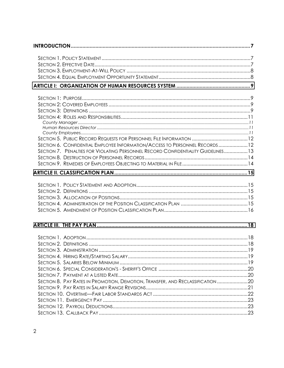| SECTION 6. CONFIDENTIAL EMPLOYEE INFORMATION/ACCESS TO PERSONNEL RECORDS 12       |  |  |
|-----------------------------------------------------------------------------------|--|--|
| SECTION 7. PENALTIES FOR VIOLATING PERSONNEL RECORD CONFIDENTIALITY GUIDELINES 13 |  |  |
|                                                                                   |  |  |
|                                                                                   |  |  |
|                                                                                   |  |  |
|                                                                                   |  |  |
|                                                                                   |  |  |
|                                                                                   |  |  |
|                                                                                   |  |  |
|                                                                                   |  |  |
|                                                                                   |  |  |
|                                                                                   |  |  |
|                                                                                   |  |  |
|                                                                                   |  |  |
|                                                                                   |  |  |
|                                                                                   |  |  |
|                                                                                   |  |  |
|                                                                                   |  |  |
|                                                                                   |  |  |
| SECTION 8. PAY RATES IN PROMOTION, DEMOTION, TRANSFER, AND RECLASSIFICATION 20    |  |  |
|                                                                                   |  |  |
|                                                                                   |  |  |
|                                                                                   |  |  |
|                                                                                   |  |  |
|                                                                                   |  |  |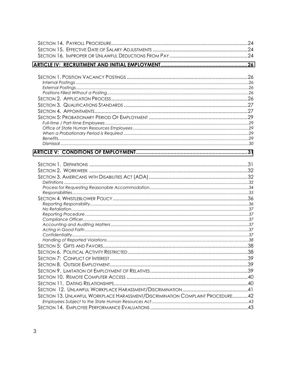| SECTION 13. UNLAWFUL WORKPLACE HARASSMENT/DISCRIMINATION COMPLAINT PROCEDURE42 |  |
|--------------------------------------------------------------------------------|--|
|                                                                                |  |
|                                                                                |  |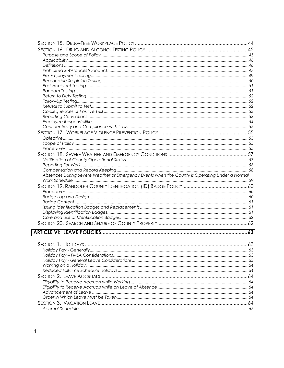| Absences During Severe Weather or Emergency Events when the County is Operating Under a Normal |  |
|------------------------------------------------------------------------------------------------|--|
|                                                                                                |  |
|                                                                                                |  |
|                                                                                                |  |
|                                                                                                |  |
|                                                                                                |  |
|                                                                                                |  |
|                                                                                                |  |
|                                                                                                |  |
|                                                                                                |  |
|                                                                                                |  |
|                                                                                                |  |
|                                                                                                |  |
|                                                                                                |  |
|                                                                                                |  |
|                                                                                                |  |
|                                                                                                |  |
|                                                                                                |  |
|                                                                                                |  |
|                                                                                                |  |
|                                                                                                |  |
|                                                                                                |  |
|                                                                                                |  |
|                                                                                                |  |
|                                                                                                |  |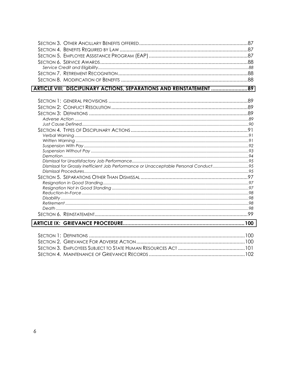| ARTICLE VIII: DISCIPLINARY ACTIONS, SEPARATIONS AND REINSTATEMENT 89                 |  |
|--------------------------------------------------------------------------------------|--|
|                                                                                      |  |
|                                                                                      |  |
|                                                                                      |  |
|                                                                                      |  |
|                                                                                      |  |
|                                                                                      |  |
|                                                                                      |  |
|                                                                                      |  |
|                                                                                      |  |
|                                                                                      |  |
|                                                                                      |  |
| Dismissal for Grossly Inefficient Job Performance or Unacceptable Personal Conduct95 |  |
|                                                                                      |  |
|                                                                                      |  |
|                                                                                      |  |
|                                                                                      |  |
|                                                                                      |  |
|                                                                                      |  |
|                                                                                      |  |
|                                                                                      |  |
|                                                                                      |  |
|                                                                                      |  |
|                                                                                      |  |
|                                                                                      |  |
|                                                                                      |  |
|                                                                                      |  |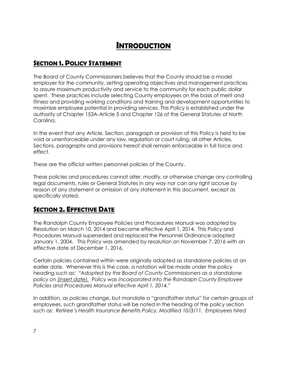## *INTRODUCTION*

## *SECTION 1. POLICY STATEMENT*

The Board of County Commissioners believes that the County should be a model employer for the community, setting operating objectives and management practices to assure maximum productivity and service to the community for each public dollar spent. These practices include selecting County employees on the basis of merit and fitness and providing working conditions and training and development opportunities to maximize employee potential in providing services. This Policy is established under the authority of Chapter 153A-Article 5 and Chapter 126 of the General Statutes of North Carolina.

In the event that any Article, Section, paragraph or provision of this Policy is held to be void or unenforceable under any law, regulation or court ruling, all other Articles, Sections, paragraphs and provisions hereof shall remain enforceable in full force and effect.

These are the official written personnel policies of the County.

These policies and procedures cannot alter, modify, or otherwise change any controlling legal documents, rules or General Statutes in any way nor can any right accrue by reason of any statement or omission of any statement in this document, except as specifically stated.

### *SECTION 2. EFFECTIVE DATE*

The Randolph County Employee Policies and Procedures Manual was adopted by Resolution on March 10, 2014 and became effective April 1, 2014. This Policy and Procedures Manual superseded and replaced the Personnel Ordinance adopted January 1, 2004. This Policy was amended by resolution on November 7, 2016 with an effective date of December 1, 2016.

Certain policies contained within were originally adopted as standalone policies at an earlier date. Whenever this is the case, a notation will be made under the policy heading such as: *"Adopted by the Board of County Commissioners as a standalone policy on (insert date). Policy was incorporated into the Randolph County Employee Policies and Procedures Manual effective April 1, 2014."* 

In addition, as policies change, but mandate a "grandfather status" for certain groups of employees, such grandfather status will be noted in the heading of the policy section such as: *Retiree's Health Insurance Benefits Policy, Modified 10/3/11. Employees hired*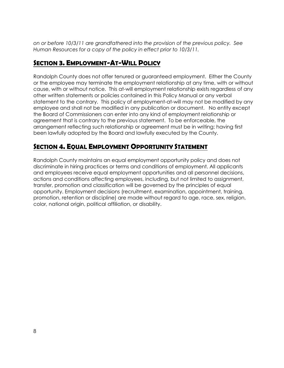*on or before 10/3/11 are grandfathered into the provision of the previous policy. See Human Resources for a copy of the policy in effect prior to 10/3/11.* 

## *SECTION 3. EMPLOYMENT-AT-WILL POLICY*

Randolph County does not offer tenured or guaranteed employment. Either the County or the employee may terminate the employment relationship at any time, with or without cause, with or without notice. This at-will employment relationship exists regardless of any other written statements or policies contained in this Policy Manual or any verbal statement to the contrary. This policy of employment-at-will may not be modified by any employee and shall not be modified in any publication or document. No entity except the Board of Commissioners can enter into any kind of employment relationship or agreement that is contrary to the previous statement. To be enforceable, the arrangement reflecting such relationship or agreement must be in writing; having first been lawfully adopted by the Board and lawfully executed by the County.

## *SECTION 4. EQUAL EMPLOYMENT OPPORTUNITY STATEMENT*

Randolph County maintains an equal employment opportunity policy and does not discriminate in hiring practices or terms and conditions of employment. All applicants and employees receive equal employment opportunities and all personnel decisions, actions and conditions affecting employees, including, but not limited to assignment, transfer, promotion and classification will be governed by the principles of equal opportunity. Employment decisions (recruitment, examination, appointment, training, promotion, retention or discipline) are made without regard to age, race, sex, religion, color, national origin, political affiliation, or disability.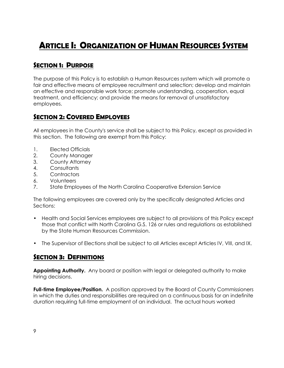## <span id="page-8-0"></span>*ARTICLE I: ORGANIZATION OF HUMAN RESOURCES SYSTEM*

## *SECTION 1: PURPOSE*

The purpose of this Policy is to establish a Human Resources system which will promote a fair and effective means of employee recruitment and selection; develop and maintain an effective and responsible work force; promote understanding, cooperation, equal treatment, and efficiency; and provide the means for removal of unsatisfactory employees.

#### *SECTION 2: COVERED EMPLOYEES*

All employees in the County's service shall be subject to this Policy, except as provided in this section. The following are exempt from this Policy:

- 1. Elected Officials
- 2. County Manager
- 3. County Attorney
- 4. Consultants
- 5. Contractors
- 6. Volunteers
- 7. State Employees of the North Carolina Cooperative Extension Service

The following employees are covered only by the specifically designated Articles and Sections:

- Health and Social Services employees are subject to all provisions of this Policy except those that conflict with North Carolina G.S. 126 or rules and regulations as established by the State Human Resources Commission.
- The Supervisor of Elections shall be subject to all Articles except Articles IV, VIII, and IX.

#### *SECTION 3: DEFINITIONS*

**Appointing Authority.** Any board or position with legal or delegated authority to make hiring decisions.

**Full-time Employee/Position.** A position approved by the Board of County Commissioners in which the duties and responsibilities are required on a continuous basis for an indefinite duration requiring full-time employment of an individual. The actual hours worked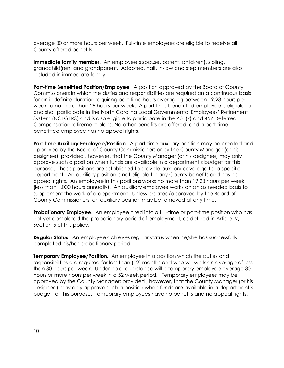average 30 or more hours per week. Full-time employees are eligible to receive all County offered benefits.

**Immediate family member.** An employee's spouse, parent, child(ren), sibling, grandchild(ren) and grandparent. Adopted, half, in-law and step members are also included in immediate family.

**Part-time Benefitted Position/Employee.** A position approved by the Board of County Commissioners in which the duties and responsibilities are required on a continuous basis for an indefinite duration requiring part-time hours averaging between 19.23 hours per week to no more than 29 hours per week. A part-time benefitted employee is eligible to and shall participate in the North Carolina Local Governmental Employees' Retirement System (NCLGERS) and is also eligible to participate in the 401(k) and 457 Deferred Compensation retirement plans. No other benefits are offered, and a part-time benefitted employee has no appeal rights.

**Part-time Auxiliary Employee/Position.** A part-time auxiliary position may be created and approved by the Board of County Commissioners or by the County Manager (or his designee); provided , however, that the County Manager (or his designee) may only approve such a position when funds are available in a department's budget for this purpose. These positions are established to provide auxiliary coverage for a specific department. An auxiliary position is not eligible for any County benefits and has no appeal rights. An employee in this positions works no more than 19.23 hours per week (less than 1,000 hours annually). An auxiliary employee works on an as needed basis to supplement the work of a department. Unless created/approved by the Board of County Commissioners, an auxiliary position may be removed at any time.

**Probationary Employee.** An employee hired into a full-time or part-time position who has not yet completed the probationary period of employment, as defined in Article IV, Section 5 of this policy.

**Regular Status**. An employee achieves regular status when he/she has successfully completed his/her probationary period.

**Temporary Employee/Position.** An employee in a position which the duties and responsibilities are required for less than (12) months and who will work an average of less than 30 hours per week. Under no circumstance will a temporary employee average 30 hours or more hours per week in a 52 week period. Temporary employees may be approved by the County Manager; provided , however, that the County Manager (or his designee) may only approve such a position when funds are available in a department's budget for this purpose. Temporary employees have no benefits and no appeal rights.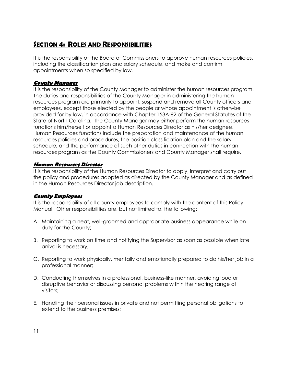## *SECTION 4: ROLES AND RESPONSIBILITIES*

It is the responsibility of the Board of Commissioners to approve human resources policies, including the classification plan and salary schedule, and make and confirm appointments when so specified by law.

#### **County Manager**

It is the responsibility of the County Manager to administer the human resources program. The duties and responsibilities of the County Manager in administering the human resources program are primarily to appoint, suspend and remove all County officers and employees, except those elected by the people or whose appointment is otherwise provided for by law, in accordance with Chapter 153A-82 of the General Statutes of the State of North Carolina. The County Manager may either perform the human resources functions him/herself or appoint a Human Resources Director as his/her designee. Human Resources functions include the preparation and maintenance of the human resources policies and procedures, the position classification plan and the salary schedule, and the performance of such other duties in connection with the human resources program as the County Commissioners and County Manager shall require.

#### **Human Resources Director**

It is the responsibility of the Human Resources Director to apply, interpret and carry out the policy and procedures adopted as directed by the County Manager and as defined in the Human Resources Director job description.

#### **County Employees**

It is the responsibility of all county employees to comply with the content of this Policy Manual. Other responsibilities are, but not limited to, the following:

- A. Maintaining a neat, well-groomed and appropriate business appearance while on duty for the County;
- B. Reporting to work on time and notifying the Supervisor as soon as possible when late arrival is necessary;
- C. Reporting to work physically, mentally and emotionally prepared to do his/her job in a professional manner;
- D. Conducting themselves in a professional, business-like manner, avoiding loud or disruptive behavior or discussing personal problems within the hearing range of visitors;
- E. Handling their personal issues in private and not permitting personal obligations to extend to the business premises;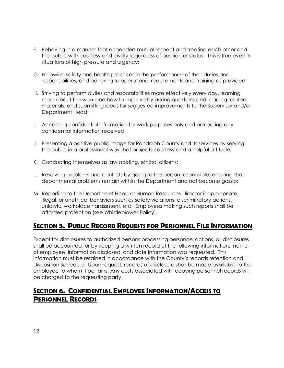- F. Behaving in a manner that engenders mutual respect and treating each other and the public with courtesy and civility regardless of position or status. This is true even in situations of high pressure and urgency;
- G. Following safety and health practices in the performance of their duties and responsibilities, and adhering to operational requirements and training as provided;
- H. Striving to perform duties and responsibilities more effectively every day, learning more about the work and how to improve by asking questions and reading related materials, and submitting ideas for suggested improvements to the Supervisor and/or Department Head;
- I. Accessing confidential information for work purposes only and protecting any confidential information received.
- J. Presenting a positive public image for Randolph County and its services by serving the public in a professional way that projects courtesy and a helpful attitude;
- K. Conducting themselves as law abiding, ethical citizens;
- L. Resolving problems and conflicts by going to the person responsible, ensuring that departmental problems remain within the Department and not become gossip;
- M. Reporting to the Department Head or Human Resources Director inappropriate, illegal, or unethical behaviors such as safety violations, discriminatory actions, unlawful workplace harassment, etc. Employees making such reports shall be afforded protection (see Whistleblower Policy).

### *SECTION 5. PUBLIC RECORD REQUESTS FOR PERSONNEL FILE INFORMATION*

Except for disclosures to authorized persons processing personnel actions, all disclosures shall be accounted for by keeping a written record of the following information: name of employee, information disclosed, and date information was requested. This information must be retained in accordance with the County's records retention and Disposition Schedule. Upon request, records of disclosure shall be made available to the employee to whom it pertains. Any costs associated with copying personnel records will be charged to the requesting party.

### *SECTION 6. CONFIDENTIAL EMPLOYEE INFORMATION/ACCESS TO PERSONNEL RECORDS*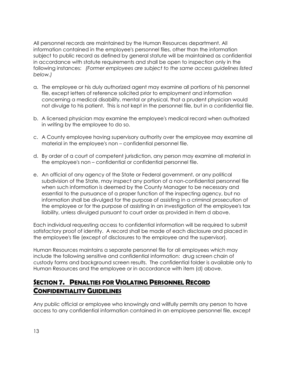All personnel records are maintained by the Human Resources department. All information contained in the employee's personnel files, other than the information subject to public record as defined by general statute will be maintained as confidential in accordance with statute requirements and shall be open to inspection only in the following instances: *(Former employees are subject to the same access guidelines listed below.)* 

- a. The employee or his duly authorized agent may examine all portions of his personnel file, except letters of reference solicited prior to employment and information concerning a medical disability, mental or physical, that a prudent physician would not divulge to his patient. This is not kept in the personnel file, but in a confidential file.
- b. A licensed physician may examine the employee's medical record when authorized in writing by the employee to do so.
- c. A County employee having supervisory authority over the employee may examine all material in the employee's non – confidential personnel file.
- d. By order of a court of competent jurisdiction, any person may examine all material in the employee's non – confidential or confidential personnel file.
- e. An official of any agency of the State or Federal government, or any political subdivision of the State, may inspect any portion of a non-confidential personnel file when such information is deemed by the County Manager to be necessary and essential to the pursuance of a proper function of the inspecting agency, but no information shall be divulged for the purpose of assisting in a criminal prosecution of the employee or for the purpose of assisting in an investigation of the employee's tax liability, unless divulged pursuant to court order as provided in Item d above.

Each individual requesting access to confidential information will be required to submit satisfactory proof of identity. A record shall be made of each disclosure and placed in the employee's file (except of disclosures to the employee and the supervisor).

Human Resources maintains a separate personnel file for all employees which may include the following sensitive and confidential information: drug screen chain of custody forms and background screen results. The confidential folder is available only to Human Resources and the employee or in accordance with item (d) above.

## *SECTION 7. PENALTIES FOR VIOLATING PERSONNEL RECORD CONFIDENTIALITY GUIDELINES*

Any public official or employee who knowingly and willfully permits any person to have access to any confidential information contained in an employee personnel file, except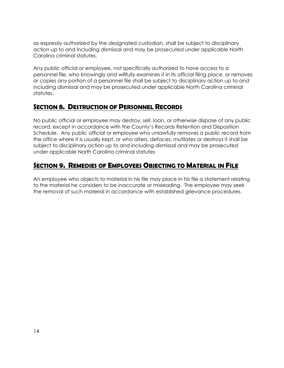as expressly authorized by the designated custodian, shall be subject to disciplinary action up to and including dismissal and may be prosecuted under applicable North Carolina criminal statutes.

Any public official or employee, not specifically authorized to have access to a personnel file, who knowingly and willfully examines it in its official filing place, or removes or copies any portion of a personnel file shall be subject to disciplinary action up to and including dismissal and may be prosecuted under applicable North Carolina criminal statutes.

#### *SECTION 8. DESTRUCTION OF PERSONNEL RECORDS*

No public official or employee may destroy, sell, loan, or otherwise dispose of any public record, except in accordance with the County's Records Retention and Disposition Schedule. Any public official or employee who unlawfully removes a public record from the office where it is usually kept, or who alters, defaces, mutilates or destroys it shall be subject to disciplinary action up to and including dismissal and may be prosecuted under applicable North Carolina criminal statutes

## *SECTION 9. REMEDIES OF EMPLOYEES OBJECTING TO MATERIAL IN FILE*

An employee who objects to material in his file may place in his file a statement relating to the material he considers to be inaccurate or misleading. The employee may seek the removal of such material in accordance with established grievance procedures.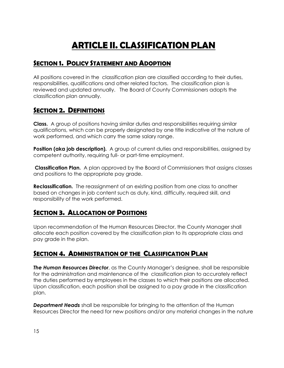## *ARTICLE II. CLASSIFICATION PLAN*

## <span id="page-14-0"></span>*SECTION 1. POLICY STATEMENT AND ADOPTION*

All positions covered in the classification plan are classified according to their duties, responsibilities, qualifications and other related factors. The classification plan is reviewed and updated annually. The Board of County Commissioners adopts the classification plan annually.

#### *SECTION 2. DEFINITIONS*

**Class.** A group of positions having similar duties and responsibilities requiring similar qualifications, which can be properly designated by one title indicative of the nature of work performed, and which carry the same salary range.

**Position (aka job description).** A group of current duties and responsibilities, assigned by competent authority, requiring full- or part-time employment.

 **Classification Plan.** A plan approved by the Board of Commissioners that assigns classes and positions to the appropriate pay grade.

**Reclassification.** The reassignment of an existing position from one class to another based on changes in job content such as duty, kind, difficulty, required skill, and responsibility of the work performed.

## *SECTION 3. ALLOCATION OF POSITIONS*

Upon recommendation of the Human Resources Director, the County Manager shall allocate each position covered by the classification plan to its appropriate class and pay grade in the plan.

### *SECTION 4. ADMINISTRATION OF THE CLASSIFICATION PLAN*

*The Human Resources Director*, as the County Manager's designee, shall be responsible for the administration and maintenance of the classification plan to accurately reflect the duties performed by employees in the classes to which their positions are allocated. Upon classification, each position shall be assigned to a pay grade in the classification plan.

*Department Heads* shall be responsible for bringing to the attention of the Human Resources Director the need for new positions and/or any material changes in the nature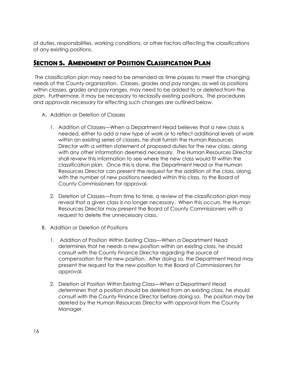of duties, responsibilities, working conditions, or other factors affecting the classifications of any existing positions.

## *SECTION 5. AMENDMENT OF POSITION CLASSIFICATION PLAN*

 The classification plan may need to be amended as time passes to meet the changing needs of the County organization. Classes, grades and pay ranges, as well as positions within classes, grades and pay ranges, may need to be added to or deleted from the plan. Furthermore, it may be necessary to reclassify existing positions. The procedures and approvals necessary for effecting such changes are outlined below.

- A. Addition or Deletion of Classes
	- 1. Addition of Classes—When a Department Head believes that a new class is needed, either to add a new type of work or to reflect additional levels of work within an existing series of classes, he shall furnish the Human Resources Director with a written statement of proposed duties for the new class, along with any other information deemed necessary. The Human Resources Director shall review this information to see where the new class would fit within the classification plan. Once this is done, the Department Head or the Human Resources Director can present the request for the addition of the class, along with the number of new positions needed within this class, to the Board of County Commissioners for approval.
	- 2. Deletion of Classes—From time to time, a review of the classification plan may reveal that a given class is no longer necessary. When this occurs, the Human Resources Director may present the Board of County Commissioners with a request to delete the unnecessary class.
- B. Addition or Deletion of Positions
	- 1. Addition of Position Within Existing Class—When a Department Head determines that he needs a new position within an existing class, he should consult with the County Finance Director regarding the source of compensation for the new position. After doing so, the Department Head may present the request for the new position to the Board of Commissioners for approval.
	- 2. Deletion of Position Within Existing Class—When a Department Head determines that a position should be deleted from an existing class, he should consult with the County Finance Director before doing so. The position may be deleted by the Human Resources Director with approval from the County Manager.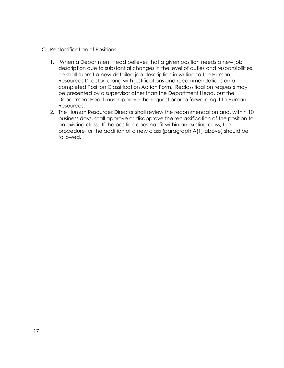- C. Reclassification of Positions
	- 1. When a Department Head believes that a given position needs a new job description due to substantial changes in the level of duties and responsibilities, he shall submit a new detailed job description in writing to the Human Resources Director, along with justifications and recommendations on a completed Position Classification Action Form. Reclassification requests may be presented by a supervisor other than the Department Head, but the Department Head must approve the request prior to forwarding it to Human Resources.
	- 2. The Human Resources Director shall review the recommendation and, within 10 business days, shall approve or disapprove the reclassification of the position to an existing class. If the position does not fit within an existing class, the procedure for the addition of a new class (paragraph A(1) above) should be followed.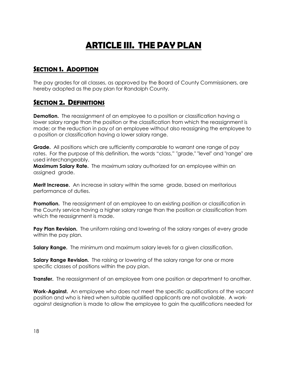## *ARTICLE III. THE PAY PLAN*

#### <span id="page-17-0"></span>*SECTION 1. ADOPTION*

The pay grades for all classes, as approved by the Board of County Commissioners, are hereby adopted as the pay plan for Randolph County.

#### *SECTION 2. DEFINITIONS*

**Demotion.** The reassignment of an employee to a position or classification having a lower salary range than the position or the classification from which the reassignment is made; or the reduction in pay of an employee without also reassigning the employee to a position or classification having a lower salary range.

**Grade.** All positions which are sufficiently comparable to warrant one range of pay rates. For the purpose of this definition, the words "class," "grade," "level" and "range" are used interchangeably.

**Maximum Salary Rate.** The maximum salary authorized for an employee within an assigned grade.

**Merit Increase.** An increase in salary within the same grade, based on meritorious performance of duties.

**Promotion.** The reassignment of an employee to an existing position or classification in the County service having a higher salary range than the position or classification from which the reassignment is made.

**Pay Plan Revision.** The uniform raising and lowering of the salary ranges of every grade within the pay plan.

**Salary Range.** The minimum and maximum salary levels for a given classification.

**Salary Range Revision.** The raising or lowering of the salary range for one or more specific classes of positions within the pay plan.

**Transfer.** The reassignment of an employee from one position or department to another.

**Work-Against.** An employee who does not meet the specific qualifications of the vacant position and who is hired when suitable qualified applicants are not available. A workagainst designation is made to allow the employee to gain the qualifications needed for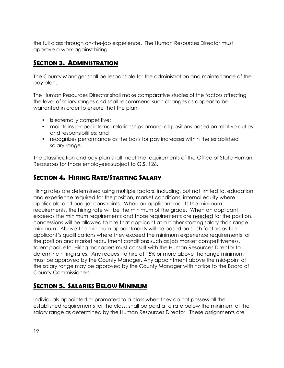the full class through on-the-job experience. The Human Resources Director must approve a work-against hiring.

## *SECTION 3. ADMINISTRATION*

The County Manager shall be responsible for the administration and maintenance of the pay plan.

The Human Resources Director shall make comparative studies of the factors affecting the level of salary ranges and shall recommend such changes as appear to be warranted in order to ensure that the plan:

- is externally competitive;
- maintains proper internal relationships among all positions based on relative duties and responsibilities; and
- recognizes performance as the basis for pay increases within the established salary range.

The classification and pay plan shall meet the requirements of the Office of State Human Resources for those employees subject to G.S. 126.

## *SECTION 4. HIRING RATE/STARTING SALARY*

Hiring rates are determined using multiple factors, including, but not limited to, education and experience required for the position, market conditions, internal equity where applicable and budget constraints. When an applicant meets the minimum requirements, the hiring rate will be the minimum of the grade. When an applicant exceeds the minimum requirements and those requirements are needed for the position, concessions will be allowed to hire that applicant at a higher starting salary than range minimum. Above-the-minimum appointments will be based on such factors as the applicant's qualifications where they exceed the minimum experience requirements for the position and market recruitment conditions such as job market competitiveness, talent pool, etc. Hiring managers must consult with the Human Resources Director to determine hiring rates. Any request to hire at 15% or more above the range minimum must be approved by the County Manager. Any appointment above the mid-point of the salary range may be approved by the County Manager with notice to the Board of County Commissioners.

### *SECTION 5. SALARIES BELOW MINIMUM*

Individuals appointed or promoted to a class when they do not possess all the established requirements for the class, shall be paid at a rate below the minimum of the salary range as determined by the Human Resources Director. These assignments are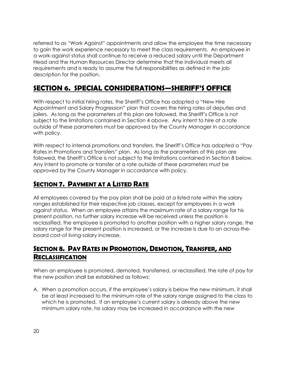referred to as "Work Against" appointments and allow the employee the time necessary to gain the work experience necessary to meet the class requirements. An employee in a work-against status shall continue to receive a reduced salary until the Department Head and the Human Resources Director determine that the individual meets all requirements and is ready to assume the full responsibilities as defined in the job description for the position.

## *SECTION 6. SPECIAL CONSIDERATIONS—SHERIFF'S OFFICE*

With respect to initial hiring rates, the Sheriff's Office has adopted a "New Hire Appointment and Salary Progression" plan that covers the hiring rates of deputies and jailers. As long as the parameters of this plan are followed, the Sheriff's Office is not subject to the limitations contained in Section 4 above. Any intent to hire at a rate outside of these parameters must be approved by the County Manager in accordance with policy.

With respect to internal promotions and transfers, the Sheriff's Office has adopted a "Pay Rates in Promotions and Transfers" plan. As long as the parameters of this plan are followed, the Sheriff's Office is not subject to the limitations contained in Section 8 below. Any intent to promote or transfer at a rate outside of these parameters must be approved by the County Manager in accordance with policy.

## *SECTION 7. PAYMENT AT A LISTED RATE*

All employees covered by the pay plan shall be paid at a listed rate within the salary ranges established for their respective job classes, except for employees in a work against status. When an employee attains the maximum rate of a salary range for his present position, no further salary increase will be received unless the position is reclassified, the employee is promoted to another position with a higher salary range, the salary range for the present position is increased, or the increase is due to an across-theboard cost-of living-salary increase.

## *SECTION 8. PAY RATES IN PROMOTION, DEMOTION, TRANSFER, AND RECLASSIFICATION*

When an employee is promoted, demoted, transferred, or reclassified, the rate of pay for the new position shall be established as follows:

A. When a promotion occurs, if the employee's salary is below the new minimum, it shall be at least increased to the minimum rate of the salary range assigned to the class to which he is promoted. If an employee's current salary is already above the new minimum salary rate, his salary may be increased in accordance with the new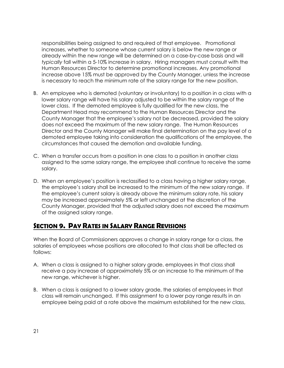responsibilities being assigned to and required of that employee. Promotional increases, whether to someone whose current salary is below the new range or already within the new range will be determined on a case-by-case basis and will *typically* fall within a 5-10% increase in salary. Hiring managers must consult with the Human Resources Director to determine promotional increases. Any promotional increase above 15% must be approved by the County Manager, unless the increase is necessary to reach the minimum rate of the salary range for the new position.

- B. An employee who is demoted (voluntary or involuntary) to a position in a class with a lower salary range will have his salary adjusted to be within the salary range of the lower class. If the demoted employee is fully qualified for the new class, the Department Head may recommend to the Human Resources Director and the County Manager that the employee's salary not be decreased, provided the salary does not exceed the maximum of the new salary range. The Human Resources Director and the County Manager will make final determination on the pay level of a demoted employee taking into consideration the qualifications of the employee, the circumstances that caused the demotion and available funding.
- C. When a transfer occurs from a position in one class to a position in another class assigned to the same salary range, the employee shall continue to receive the same salary.
- D. When an employee's position is reclassified to a class having a higher salary range, the employee's salary shall be increased to the minimum of the new salary range. If the employee's current salary is already above the minimum salary rate, his salary may be increased approximately 5% or left unchanged at the discretion of the County Manager, provided that the adjusted salary does not exceed the maximum of the assigned salary range.

#### *SECTION 9. PAY RATES IN SALARY RANGE REVISIONS*

When the Board of Commissioners approves a change in salary range for a class, the salaries of employees whose positions are allocated to that class shall be affected as follows:

- A. When a class is assigned to a higher salary grade, employees in that class shall receive a pay increase of approximately 5% or an increase to the minimum of the new range, whichever is higher.
- B. When a class is assigned to a lower salary grade, the salaries of employees in that class will remain unchanged. If this assignment to a lower pay range results in an employee being paid at a rate above the maximum established for the new class,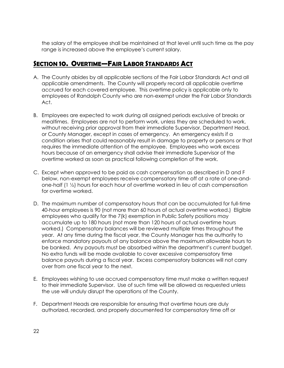the salary of the employee shall be maintained at that level until such time as the pay range is increased above the employee's current salary.

### *SECTION 10. OVERTIME—FAIR LABOR STANDARDS ACT*

- A. The County abides by all applicable sections of the Fair Labor Standards Act and all applicable amendments. The County will properly record all applicable overtime accrued for each covered employee. This overtime policy is applicable only to employees of Randolph County who are non-exempt under the Fair Labor Standards Act.
- B. Employees are expected to work during all assigned periods exclusive of breaks or mealtimes. Employees are not to perform work, unless they are scheduled to work, without receiving prior approval from their immediate Supervisor, Department Head, or County Manager, except in cases of emergency. An emergency exists if a condition arises that could reasonably result in damage to property or persons or that requires the immediate attention of the employee. Employees who work excess hours because of an emergency shall advise their immediate Supervisor of the overtime worked as soon as practical following completion of the work.
- C. Except when approved to be paid as cash compensation as described in D and F below, non-exempt employees receive compensatory time off at a rate of one-andone-half (1 ½) hours for each hour of overtime worked in lieu of cash compensation for overtime worked.
- D. The maximum number of compensatory hours that can be accumulated for full-time 40-hour employees is 90 (not more than 60 hours of actual overtime worked.) Eligible employees who qualify for the 7(k) exemption in Public Safety positions may accumulate up to 180 hours (not more than 120 hours of actual overtime hours worked.) Compensatory balances will be reviewed multiple times throughout the year. At any time during the fiscal year, the County Manager has the authority to enforce mandatory payouts of any balance above the maximum allowable hours to be banked. Any payouts must be absorbed within the department's current budget. No extra funds will be made available to cover excessive compensatory time balance payouts during a fiscal year. Excess compensatory balances will not carry over from one fiscal year to the next.
- E. Employees wishing to use accrued compensatory time must make a written request to their immediate Supervisor. Use of such time will be allowed as requested unless the use will unduly disrupt the operations of the County.
- F. Department Heads are responsible for ensuring that overtime hours are duly authorized, recorded, and properly documented for compensatory time off or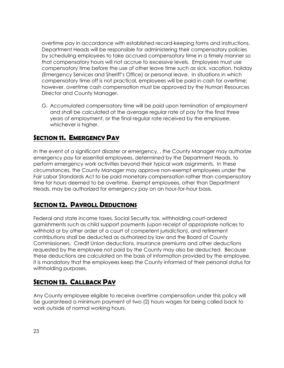overtime pay in accordance with established record-keeping forms and instructions. Department Heads will be responsible for administering their compensatory policies by scheduling employees to take accrued compensatory time in a timely manner so that compensatory hours will not accrue to excessive levels. Employees must use compensatory time before the use of other leave time such as sick, vacation, holiday (Emergency Services and Sheriff's Office) or personal leave. In situations in which compensatory time off is not practical, employees will be paid in cash for overtime; however, overtime cash compensation must be approved by the Human Resources Director and County Manager.

G. Accumulated compensatory time will be paid upon termination of employment and shall be calculated at the average regular rate of pay for the final three years of employment, or the final regular rate received by the employee, whichever is higher.

### *SECTION 11. EMERGENCY PAY*

In the event of a significant disaster or emergency, , the County Manager may authorize emergency pay for essential employees, determined by the Department Heads, to perform emergency work activities beyond their typical work asignments. In these circumstances, the County Manager may approve non-exempt employees under the Fair Labor Standards Act to be paid monetary compensation rather than compensatory time for hours deemed to be overtime. Exempt employees, other than Department Heads, may be authorized for emergency pay on an hour-for-hour basis.

### *SECTION 12. PAYROLL DEDUCTIONS*

Federal and state income taxes, Social Security tax, withholding court-ordered garnishments such as child support payments (upon receipt of appropriate notices to withhold or by other order of a court of competent jurisdiction), and retirement contributions shall be deducted as authorized by law and the Board of County Commissioners. Credit Union deductions, insurance premiums and other deductions requested by the employee not paid by the County may also be deducted. Because these deductions are calculated on the basis of information provided by the employee, it is mandatory that the employees keep the County informed of their personal status for withholding purposes.

## *SECTION 13. CALLBACK PAY*

Any County employee eligible to receive overtime compensation under this policy will be guaranteed a minimum payment of two (2) hours wages for being called back to work outside of normal working hours.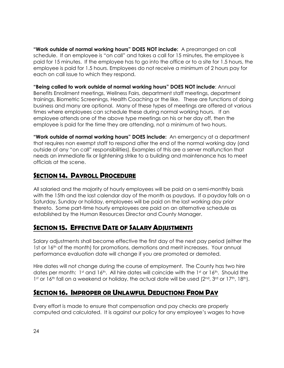**"Work outside of normal working hours" DOES NOT include:** A prearranged on call schedule. If an employee is "on call" and takes a call for 15 minutes, the employee is paid for 15 minutes. If the employee has to go into the office or to a site for 1.5 hours, the employee is paid for 1.5 hours. Employees do not receive a minimum of 2 hours pay for each on call issue to which they respond.

**"Being called to work outside of normal working hours" DOES NOT include**: Annual Benefits Enrollment meetings, Wellness Fairs, department staff meetings, department trainings, Biometric Screenings, Health Coaching or the like. These are functions of doing business and many are optional. Many of these types of meetings are offered at various times where employees can schedule these during normal working hours. If an employee attends one of the above type meetings on his or her day off, then the employee is paid for the time they are attending, not a minimum of two hours.

**"Work outside of normal working hours" DOES include:** An emergency at a department that requires non exempt staff to respond after the end of the normal working day (and outside of any "on call" responsibilities). Examples of this are a server malfunction that needs an immediate fix or lightening strike to a building and maintenance has to meet officials at the scene.

## *SECTION 14. PAYROLL PROCEDURE*

All salaried and the majority of hourly employees will be paid on a semi-monthly basis with the 15th and the last calendar day of the month as paydays. If a payday falls on a Saturday, Sunday or holiday, employees will be paid on the last working day prior thereto. Some part-time hourly employees are paid on an alternative schedule as established by the Human Resources Director and County Manager.

## *SECTION 15. EFFECTIVE DATE OF SALARY ADJUSTMENTS*

Salary adjustments shall become effective the first day of the next pay period (either the 1st or 16<sup>th</sup> of the month) for promotions, demotions and merit increases. Your annual performance evaluation date will change if you are promoted or demoted.

Hire dates will not change during the course of employment. The County has two hire dates per month: 1st and 16th. All hire dates will coincide with the 1st or 16th. Should the 1st or 16th fall on a weekend or holiday, the actual date will be used  $(2^{nd}, 3^{rd}$  or  $17^{th}, 18^{th})$ .

### *SECTION 16. IMPROPER OR UNLAWFUL DEDUCTIONS FROM PAY*

Every effort is made to ensure that compensation and pay checks are properly computed and calculated. It is against our policy for any employee's wages to have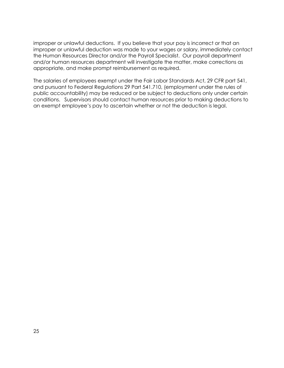improper or unlawful deductions. If you believe that your pay is incorrect or that an improper or unlawful deduction was made to your wages or salary, immediately contact the Human Resources Director and/or the Payroll Specialist. Our payroll department and/or human resources department will investigate the matter, make corrections as appropriate, and make prompt reimbursement as required.

The salaries of employees exempt under the Fair Labor Standards Act, 29 CFR part 541, and pursuant to Federal Regulations 29 Part 541.710, (employment under the rules of public accountability) may be reduced or be subject to deductions only under certain conditions. Supervisors should contact human resources prior to making deductions to an exempt employee's pay to ascertain whether or not the deduction is legal.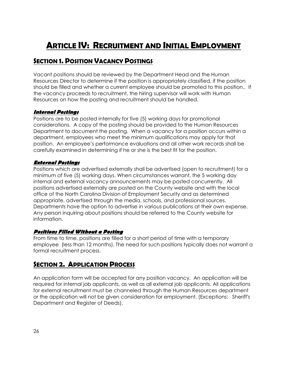## <span id="page-25-0"></span>*ARTICLE IV: RECRUITMENT AND INITIAL EMPLOYMENT*

## *SECTION 1. POSITION VACANCY POSTINGS*

Vacant positions should be reviewed by the Department Head and the Human Resources Director to determine if the position is appropriately classified, if the position should be filled and whether a current employee should be promoted to this position.. If the vacancy proceeds to recruitment, the hiring supervisor will work with Human Resources on how the posting and recruitment should be handled.

#### **Internal Postings**

Positions are to be posted internally for five (5) working days for promotional considerations. A copy of the posting should be provided to the Human Resources Department to document the posting. When a vacancy for a position occurs within a department, employees who meet the minimum qualifications may apply for that position. An employee's performance evaluations and all other work records shall be carefully examined in determining if he or she is the best fit for the position.

#### **External Postings**

Positions which are advertised externally shall be advertised (open to recruitment) for a minimum of five (5) working days. When circumstances warrant, the 5 working day internal and external vacancy announcements may be posted concurrently. All positions advertised externally are posted on the County website and with the local office of the North Carolina Division of Employment Security and as determined appropriate, advertised through the media, schools, and professional sources. Departments have the option to advertise in various publications at their own expense. Any person inquiring about positions should be referred to the County website for information.

#### **Positions Filled Without a Posting**

From time to time, positions are filled for a short period of time with a temporary employee (less than 12 months). The need for such positions typically does not warrant a formal recruitment process.

### *SECTION 2. APPLICATION PROCESS*

An application form will be accepted for any position vacancy. An application will be required for internal job applicants, as well as all external job applicants. All applications for external recruitment must be channeled through the Human Resources department or the application will not be given consideration for employment. (Exceptions: Sheriff's Department and Register of Deeds).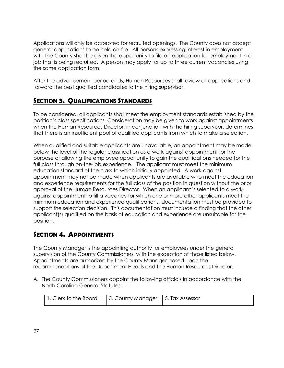Applications will only be accepted for recruited openings. The County does not accept general applications to be held on-file. All persons expressing interest in employment with the County shall be given the opportunity to file an application for employment in a job that is being recruited. A person may apply for up to three current vacancies using the same application form.

After the advertisement period ends, Human Resources shall review all applications and forward the best qualified candidates to the hiring supervisor.

#### *SECTION 3. QUALIFICATIONS STANDARDS*

To be considered, all applicants shall meet the employment standards established by the position's class specifications. Consideration may be given to work against appointments when the Human Resources Director, in conjunction with the hiring supervisor, determines that there is an insufficient pool of qualified applicants from which to make a selection.

When qualified and suitable applicants are unavailable, an appointment may be made below the level of the regular classification as a work-against appointment for the purpose of allowing the employee opportunity to gain the qualifications needed for the full class through on-the-job experience. The applicant must meet the minimum education standard of the class to which initially appointed. A work-against appointment may not be made when applicants are available who meet the education and experience requirements for the full class of the position in question without the prior approval of the Human Resources Director. When an applicant is selected to a workagainst appointment to fill a vacancy for which one or more other applicants meet the minimum education and experience qualifications, documentation must be provided to support the selection decision. This documentation must include a finding that the other applicant(s) qualified on the basis of education and experience are unsuitable for the position.

### *SECTION 4. APPOINTMENTS*

The County Manager is the appointing authority for employees under the general supervision of the County Commissioners, with the exception of those listed below. Appointments are authorized by the County Manager based upon the recommendations of the Department Heads and the Human Resources Director.

A. The County Commissioners appoint the following officials in accordance with the North Carolina General Statutes:

| 1. Clerk to the Board | 3. County Manager   5. Tax Assessor |  |
|-----------------------|-------------------------------------|--|
|-----------------------|-------------------------------------|--|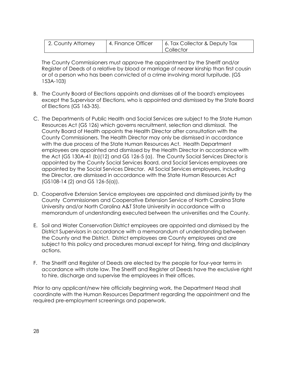| 2. County Attorney | 4. Finance Officer | 6. Tax Collector & Deputy Tax |
|--------------------|--------------------|-------------------------------|
|                    |                    | <b>Collector</b>              |

The County Commissioners must approve the appointment by the Sheriff and/or Register of Deeds of a relative by blood or marriage of nearer kinship than first cousin or of a person who has been convicted of a crime involving moral turpitude. (GS 153A-103)

- B. The County Board of Elections appoints and dismisses all of the board's employees except the Supervisor of Elections, who is appointed and dismissed by the State Board of Elections (GS 163-35).
- C. The Departments of Public Health and Social Services are subject to the State Human Resources Act (GS 126) which governs recruitment, selection and dismissal. The County Board of Health appoints the Health Director after consultation with the County Commissioners. The Health Director may only be dismissed in accordance with the due process of the State Human Resources Act. Health Department employees are appointed and dismissed by the Health Director in accordance with the Act (GS 130A-41 (b)(12) and GS 126-5 (a). The County Social Services Director is appointed by the County Social Services Board, and Social Services employees are appointed by the Social Services Director. All Social Services employees, including the Director, are dismissed in accordance with the State Human Resources Act (GS108-14 (2) and GS 126-5(a)).
- D. Cooperative Extension Service employees are appointed and dismissed jointly by the County Commissioners and Cooperative Extension Service of North Carolina State University and/or North Carolina A&T State University in accordance with a memorandum of understanding executed between the universities and the County.
- E. Soil and Water Conservation District employees are appointed and dismissed by the District Supervisors in accordance with a memorandum of understanding between the County and the District. District employees are County employees and are subject to this policy and procedures manual except for hiring, firing and disciplinary actions.
- F. The Sheriff and Register of Deeds are elected by the people for four-year terms in accordance with state law. The Sheriff and Register of Deeds have the exclusive right to hire, discharge and supervise the employees in their offices.

Prior to any applicant/new hire officially beginning work, the Department Head shall coordinate with the Human Resources Department regarding the appointment and the required pre-employment screenings and paperwork.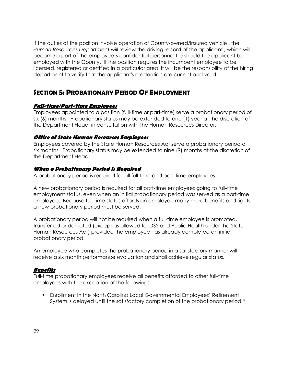If the duties of the position involve operation of County-owned/insured vehicle , the *Human Resources Department will* review the driving record of the applicant , which will become a part of the employee's confidential personnel file should the applicant be employed with the County. If the position requires the incumbent employee to be licensed, registered or certified in a particular area, it will be the responsibility of the hiring department to verify that the applicant's credentials are current and valid.

#### *SECTION 5: PROBATIONARY PERIOD OF EMPLOYMENT*

#### **Full-time/Part-time Employees**

Employees appointed to a position (full-time or part-time) serve a probationary period of six (6) months. Probationary status may be extended to one (1) year at the discretion of the Department Head, in consultation with the Human Resources Director.

#### **Office of State Human Resources Employees**

Employees covered by the State Human Resources Act serve a probationary period of six months. Probationary status may be extended to nine (9) months at the discretion of the Department Head.

#### **When a Probationary Period is Required**

A probationary period is required for all full-time and part-time employees.

A new probationary period is required for all part-time employees going to full-time employment status, even when an initial probationary period was served as a part-time employee. Because full-time status affords an employee many more benefits and rights, a new probationary period must be served.

A probationary period will not be required when a full-time employee is promoted, transferred or demoted (except as allowed for DSS and Public Health under the State Human Resources Act) provided the employee has already completed an initial probationary period.

An employee who completes the probationary period in a satisfactory manner will receive a six month performance evaluation and shall achieve regular status.

#### **Benefits**

Full-time probationary employees receive all benefits afforded to other full-time employees with the exception of the following:

• Enrollment in the North Carolina Local Governmental Employees' Retirement System is delayed until the satisfactory completion of the probationary period.\*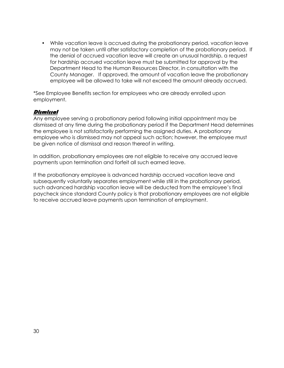• While vacation leave is accrued during the probationary period, vacation leave may not be taken until after satisfactory completion of the probationary period. If the denial of accrued vacation leave will create an unusual hardship, a request for hardship accrued vacation leave must be submitted for approval by the Department Head to the Human Resources Director, in consultation with the County Manager. If approved, the amount of vacation leave the probationary employee will be allowed to take will not exceed the amount already accrued.

\*See Employee Benefits section for employees who are already enrolled upon employment.

#### **Dismissal**

Any employee serving a probationary period following initial appointment may be dismissed at any time during the probationary period if the Department Head determines the employee is not satisfactorily performing the assigned duties. A probationary employee who is dismissed may not appeal such action; however, the employee must be given notice of dismissal and reason thereof in writing.

In addition, probationary employees are not eligible to receive any accrued leave payments upon termination and forfeit all such earned leave.

If the probationary employee is advanced hardship accrued vacation leave and subsequently voluntarily separates employment while still in the probationary period, such advanced hardship vacation leave will be deducted from the employee's final paycheck since standard County policy is that probationary employees are not eligible to receive accrued leave payments upon termination of employment.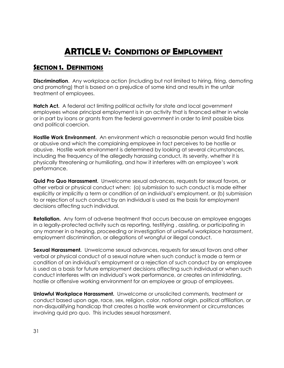## *ARTICLE V: CONDITIONS OF EMPLOYMENT*

#### <span id="page-30-0"></span>*SECTION 1. DEFINITIONS*

**Discrimination**. Any workplace action (including but not limited to hiring, firing, demoting and promoting) that is based on a prejudice of some kind and results in the unfair treatment of employees.

**Hatch Act.** A federal act limiting political activity for state and local government employees whose principal employment is in an activity that is financed either in whole or in part by loans or grants from the federal government in order to limit possible bias and political coercion.

**Hostile Work Environment.** An environment which a reasonable person would find hostile or abusive and which the complaining employee in fact perceives to be hostile or abusive. Hostile work environment is determined by looking at several circumstances, including the frequency of the allegedly harassing conduct, its severity, whether it is physically threatening or humiliating, and how it interferes with an employee's work performance.

**Quid Pro Quo Harassment.** Unwelcome sexual advances, requests for sexual favors, or other verbal or physical conduct when: (a) submission to such conduct is made either explicitly or implicitly a term or condition of an individual's employment, or (b) submission to or rejection of such conduct by an individual is used as the basis for employment decisions affecting such individual.

**Retaliation.** Any form of adverse treatment that occurs because an employee engages in a legally-protected activity such as reporting, testifying , assisting, or participating in any manner in a hearing, proceeding or investigation of unlawful workplace harassment, employment discrimination, or allegations of wrongful or illegal conduct.

**Sexual Harassment.** Unwelcome sexual advances, requests for sexual favors and other verbal or physical conduct of a sexual nature when such conduct is made a term or condition of an individual's employment or a rejection of such conduct by an employee is used as a basis for future employment decisions affecting such individual or when such conduct interferes with an individual's work performance, or creates an intimidating, hostile or offensive working environment for an employee or group of employees.

**Unlawful Workplace Harassment.** Unwelcome or unsolicited comments, treatment or conduct based upon age, race, sex, religion, color, national origin, political affiliation, or non-disqualifying handicap that creates a hostile work environment or circumstances involving quid pro quo. This includes sexual harassment.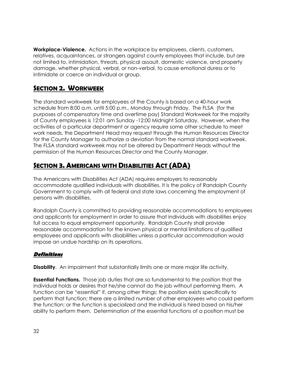**Workplace-Violence.** Actions in the workplace by employees, clients, customers, relatives, acquaintances, or strangers against county employees that include, but are not limited to, intimidation, threats, physical assault, domestic violence, and property damage, whether physical, verbal, or non-verbal, to cause emotional duress or to intimidate or coerce an individual or group.

### *SECTION 2. WORKWEEK*

The standard workweek for employees of the County is based on a 40-hour work schedule from 8:00 a.m. until 5:00 p.m., Monday through Friday. The FLSA(for the purposes of compensatory time and overtime pay) Standard Workweek for the majority of County employees is 12:01 am Sunday -12:00 Midnight Saturday. However, when the activities of a particular department or agency require some other schedule to meet work needs, the Department Head may request through the Human Resources Director for the County Manager to authorize a deviation from the normal standard workweek. The FLSA standard workweek may not be altered by Department Heads without the permission of the Human Resources Director and the County Manager.

## *SECTION 3. AMERICANS WITH DISABILITIES ACT (ADA)*

The Americans with Disabilities Act (ADA) requires employers to reasonably accommodate qualified individuals with disabilities. It is the policy of Randolph County Government to comply with all federal and state laws concerning the employment of persons with disabilities.

Randolph County is committed to providing reasonable accommodations to employees and applicants for employment in order to assure that individuals with disabilities enjoy full access to equal employment opportunity. Randolph County shall provide reasonable accommodation for the known physical or mental limitations of qualified employees and applicants with disabilities unless a particular accommodation would impose an undue hardship on its operations.

#### **Definitions**

**Disability.** An impairment that substantially limits one or more major life activity.

**Essential Functions.** Those job duties that are so fundamental to the position that the individual holds or desires that he/she cannot do the job without performing them. A function can be "essential" if, among other things: the position exists specifically to perform that function; there are a limited number of other employees who could perform the function; or the function is specialized and the individual is hired based on his/her ability to perform them. Determination of the essential functions of a position must be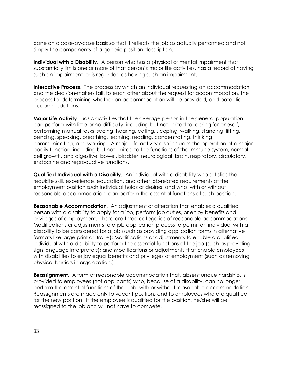done on a case-by-case basis so that it reflects the job as actually performed and not simply the components of a generic position description.

**Individual with a Disability**. A person who has a physical or mental impairment that substantially limits one or more of that person's major life activities, has a record of having such an impairment, or is regarded as having such an impairment.

**Interactive Process**. The process by which an individual requesting an accommodation and the decision-makers talk to each other about the request for accommodation, the process for determining whether an accommodation will be provided, and potential accommodations.

**Major Life Activity**. Basic activities that the average person in the general population can perform with little or no difficulty, including but not limited to: caring for oneself, performing manual tasks, seeing, hearing, eating, sleeping, walking, standing, lifting, bending, speaking, breathing, learning, reading, concentrating, thinking, communicating, and working. A major life activity also includes the operation of a major bodily function, including but not limited to the functions of the immune system, normal cell growth, and digestive, bowel, bladder, neurological, brain, respiratory, circulatory, endocrine and reproductive functions.

**Qualified Individual with a Disability**. An individual with a disability who satisfies the requisite skill, experience, education, and other job-related requirements of the employment position such individual holds or desires, and who, with or without reasonable accommodation, can perform the essential functions of such position.

**Reasonable Accommodation**. An adjustment or alteration that enables a qualified person with a disability to apply for a job, perform job duties, or enjoy benefits and privileges of employment. There are three categories of reasonable accommodations: Modifications or adjustments to a job application process to permit an individual with a disability to be considered for a job (such as providing application forms in alternative formats like large print or Braille); Modifications or adjustments to enable a qualified individual with a disability to perform the essential functions of the job (such as providing sign language interpreters); and Modifications or adjustments that enable employees with disabilities to enjoy equal benefits and privileges of employment (such as removing physical barriers in organization.)

**Reassignment**. A form of reasonable accommodation that, absent undue hardship, is provided to employees (not applicants) who, because of a disability, can no longer perform the essential functions of their job, with or without reasonable accommodation. Reassignments are made only to vacant positions and to employees who are qualified for the new position. If the employee is qualified for the position, he/she will be reassigned to the job and will not have to compete.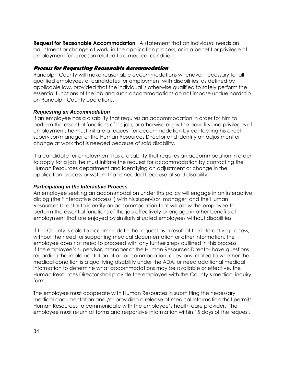**Request for Reasonable Accommodation**. A statement that an individual needs an adjustment or change at work, in the application process, or in a benefit or privilege of employment for a reason related to a medical condition.

#### **Process for Requesting Reasonable Accommodation**

Randolph County will make reasonable accommodations whenever necessary for all qualified employees or candidates for employment with disabilities, as defined by applicable law, provided that the individual is otherwise qualified to safely perform the essential functions of the job and such accommodations do not impose undue hardship on Randolph County operations.

#### **Requesting an Accommodation**

If an employee has a disability that requires an accommodation in order for him to perform the essential functions of his job, or otherwise enjoy the benefits and privileges of employment, he must initiate a request for accommodation by contacting his direct supervisor/manager or the Human Resources Director and identify an adjustment or change at work that is needed because of said disability.

If a candidate for employment has a disability that requires an accommodation in order to apply for a job, he must initiate the request for accommodation by contacting the Human Resources department and identifying an adjustment or change in the application process or system that is needed because of said disability.

#### **Participating in the Interactive Process**

An employee seeking an accommodation under this policy will engage in an interactive dialog (the "interactive process") with his supervisor, manager, and the Human Resources Director to identify an accommodation that will allow the employee to perform the essential functions of the job effectively or engage in other benefits of employment that are enjoyed by similarly situated employees without disabilities.

If the County is able to accommodate the request as a result of the interactive process, without the need for supporting medical documentation or other information, the employee does not need to proceed with any further steps outlined in this process. If the employee's supervisor, manager or the Human Resources Director have questions regarding the implementation of an accommodation, questions related to whether the medical condition is a qualifying disability under the ADA, or need additional medical information to determine what accommodations may be available or effective, the Human Resources Director shall provide the employee with the County's medical inquiry form.

The employee must cooperate with Human Resources in submitting the necessary medical documentation and /or providing a release of medical information that permits Human Resources to communicate with the employee's health care provider. The employee must return all forms and responsive information within 15 days of the request.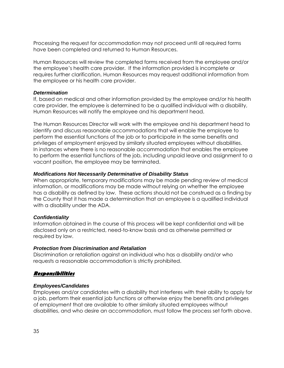Processing the request for accommodation may not proceed until all required forms have been completed and returned to Human Resources.

Human Resources will review the completed forms received from the employee and/or the employee's health care provider. If the information provided is incomplete or requires further clarification, Human Resources may request additional information from the employee or his health care provider.

#### **Determination**

If, based on medical and other information provided by the employee and/or his health care provider, the employee is determined to be a qualified individual with a disability, Human Resources will notify the employee and his department head.

The Human Resources Director will work with the employee and his department head to identify and discuss reasonable accommodations that will enable the employee to perform the essential functions of the job or to participate in the same benefits and privileges of employment enjoyed by similarly situated employees without disabilities. In instances where there is no reasonable accommodation that enables the employee to perform the essential functions of the job, including unpaid leave and assignment to a vacant position, the employee may be terminated.

#### **Modifications Not Necessarily Determinative of Disability Status**

When appropriate, temporary modifications may be made pending review of medical information, or modifications may be made without relying on whether the employee has a disability as defined by law. These actions should not be construed as a finding by the County that it has made a determination that an employee is a qualified individual with a disability under the ADA.

#### **Confidentiality**

Information obtained in the course of this process will be kept confidential and will be disclosed only on a restricted, need-to-know basis and as otherwise permitted or required by law.

#### **Protection from Discrimination and Retaliation**

Discrimination or retaliation against an individual who has a disability and/or who requests a reasonable accommodation is strictly prohibited.

#### **Responsibilities**

#### **Employees/Candidates**

Employees and/or candidates with a disability that interferes with their ability to apply for a job, perform their essential job functions or otherwise enjoy the benefits and privileges of employment that are available to other similarly situated employees without disabilities, and who desire an accommodation, must follow the process set forth above.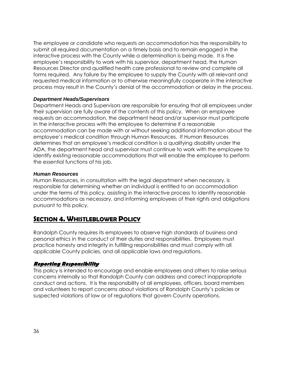The employee or candidate who requests an accommodation has the responsibility to submit all required documentation on a timely basis and to remain engaged in the interactive process with the County while a determination is being made. It is the employee's responsibility to work with his supervisor, department head, the Human Resources Director and qualified health care professional to review and complete all forms required. Any failure by the employee to supply the County with all relevant and requested medical information or to otherwise meaningfully cooperate in the interactive process may result in the County's denial of the accommodation or delay in the process.

#### **Department Heads/Supervisors**

Department Heads and Supervisors are responsible for ensuring that all employees under their supervision are fully aware of the contents of this policy. When an employee requests an accommodation, the department head and/or supervisor must participate in the interactive process with the employee to determine if a reasonable accommodation can be made with or without seeking additional information about the employee's medical condition through Human Resources. If Human Resources determines that an employee's medical condition is a qualifying disability under the ADA, the department head and supervisor must continue to work with the employee to identify existing reasonable accommodations that will enable the employee to perform the essential functions of his job.

#### **Human Resources**

Human Resources, in consultation with the legal department when necessary, is responsible for determining whether an individual is entitled to an accommodation under the terms of this policy, assisting in the interactive process to identify reasonable accommodations as necessary, and informing employees of their rights and obligations pursuant to this policy.

#### *SECTION 4. WHISTLEBLOWER POLICY*

Randolph County requires its employees to observe high standards of business and personal ethics in the conduct of their duties and responsibilities. Employees must practice honesty and integrity in fulfilling responsibilities and must comply with all applicable County policies, and all applicable laws and regulations.

#### **Reporting Responsibility**

This policy is intended to encourage and enable employees and others to raise serious concerns internally so that Randolph County can address and correct inappropriate conduct and actions. It is the responsibility of all employees, officers, board members and volunteers to report concerns about violations of Randolph County's policies or suspected violations of law or of regulations that govern County operations.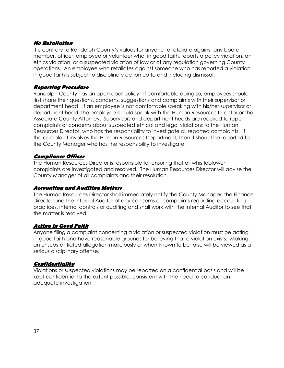### **No Retaliation**

It is contrary to Randolph County's values for anyone to retaliate against any board member, officer, employee or volunteer who, in good faith, reports a policy violation, an ethics violation, or a suspected violation of law or of any regulation governing County operations. An employee who retaliates against someone who has reported a violation in good faith is subject to disciplinary action up to and including dismissal.

### **Reporting Procedure**

Randolph County has an open door policy. If comfortable doing so, employees should first share their questions, concerns, suggestions and complaints with their supervisor or department head. If an employee is not comfortable speaking with his/her supervisor or department head, the employee should speak with the Human Resources Director or the Associate County Attorney. Supervisors and department heads are required to report complaints or concerns about suspected ethical and legal violations to the Human Resources Director, who has the responsibility to investigate all reported complaints. If the complaint involves the Human Resources Department, then it should be reported to the County Manager who has the responsibility to investigate.

### **Compliance Officer**

The Human Resources Director is responsible for ensuring that all whistleblower complaints are investigated and resolved. The Human Resources Director will advise the County Manager of all complaints and their resolution.

# **Accounting and Auditing Matters**

The Human Resources Director shall immediately notify the County Manager, the Finance Director and the Internal Auditor of any concerns or complaints regarding accounting practices, internal controls or auditing and shall work with the Internal Auditor to see that the matter is resolved.

### **Acting in Good Faith**

Anyone filing a complaint concerning a violation or suspected violation must be acting in good faith and have reasonable grounds for believing that a violation exists. Making an unsubstantiated allegation maliciously or when known to be false will be viewed as a serious disciplinary offense.

### **Confidentiality**

Violations or suspected violations may be reported on a confidential basis and will be kept confidential to the extent possible, consistent with the need to conduct an adequate investigation.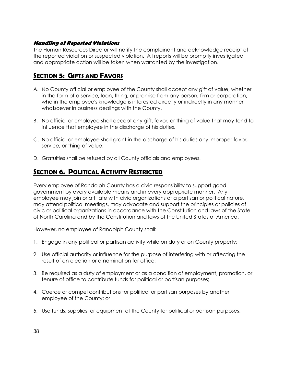# **Handling of Reported Violations**

The Human Resources Director will notify the complainant and acknowledge receipt of the reported violation or suspected violation. All reports will be promptly investigated and appropriate action will be taken when warranted by the investigation.

# *SECTION 5: GIFTS AND FAVORS*

- A. No County official or employee of the County shall accept any gift of value, whether in the form of a service, loan, thing, or promise from any person, firm or corporation, who in the employee's knowledge is interested directly or indirectly in any manner whatsoever in business dealings with the County.
- B. No official or employee shall accept any gift, favor, or thing of value that may tend to influence that employee in the discharge of his duties.
- C. No official or employee shall grant in the discharge of his duties any improper favor, service, or thing of value.
- D. Gratuities shall be refused by all County officials and employees.

# *SECTION 6. POLITICAL ACTIVITY RESTRICTED*

Every employee of Randolph County has a civic responsibility to support good government by every available means and in every appropriate manner. Any employee may join or affiliate with civic organizations of a partisan or political nature, may attend political meetings, may advocate and support the principles or policies of civic or political organizations in accordance with the Constitution and laws of the State of North Carolina and by the Constitution and laws of the United States of America.

However, no employee of Randolph County shall:

- 1. Engage in any political or partisan activity while on duty or on County property;
- 2. Use official authority or influence for the purpose of interfering with or affecting the result of an election or a nomination for office;
- 3. Be required as a duty of employment or as a condition of employment, promotion, or tenure of office to contribute funds for political or partisan purposes;
- 4. Coerce or compel contributions for political or partisan purposes by another employee of the County; or
- 5. Use funds, supplies, or equipment of the County for political or partisan purposes.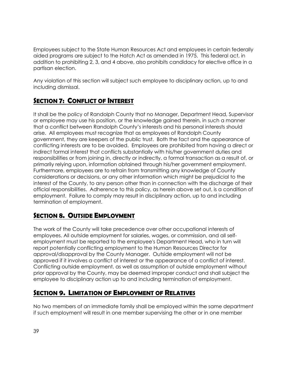Employees subject to the State Human Resources Act and employees in certain federally aided programs are subject to the Hatch Act as amended in 1975. This federal act, in addition to prohibiting 2, 3, and 4 above, also prohibits candidacy for elective office in a partisan election.

Any violation of this section will subject such employee to disciplinary action, up to and including dismissal.

# *SECTION 7: CONFLICT OF INTEREST*

It shall be the policy of Randolph County that no Manager, Department Head, Supervisor or employee may use his position, or the knowledge gained therein, in such a manner that a conflict between Randolph County's interests and his personal interests should arise. All employees must recognize that as employees of Randolph County government, they are keepers of the public trust. Both the fact and the appearance of conflicting interests are to be avoided. Employees are prohibited from having a direct or indirect formal interest that conflicts substantially with his/her government duties and responsibilities or from joining in, directly or indirectly, a formal transaction as a result of, or primarily relying upon, information obtained through his/her government employment. Furthermore, employees are to refrain from transmitting any knowledge of County considerations or decisions, or any other information which might be prejudicial to the interest of the County, to any person other than in connection with the discharge of their official responsibilities. Adherence to this policy, as herein above set out, is a condition of employment. Failure to comply may result in disciplinary action, up to and including termination of employment.

# *SECTION 8. OUTSIDE EMPLOYMENT*

The work of the County will take precedence over other occupational interests of employees. All outside employment for salaries, wages, or commission, and all selfemployment must be reported to the employee's Department Head, who in turn will report potentially conflicting employment to the Human Resources Director for approval/disapproval by the County Manager. Outside employment will not be approved if it involves a conflict of interest or the appearance of a conflict of interest. Conflicting outside employment, as well as assumption of outside employment without prior approval by the County, may be deemed improper conduct and shall subject the employee to disciplinary action up to and including termination of employment.

# *SECTION 9. LIMITATION OF EMPLOYMENT OF RELATIVES*

No two members of an immediate family shall be employed within the same department if such employment will result in one member supervising the other or in one member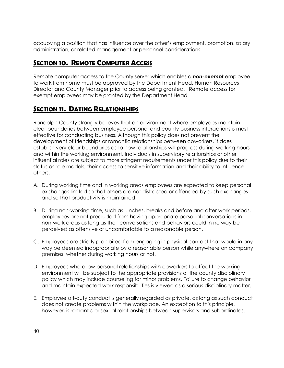occupying a position that has influence over the other's employment, promotion, salary administration, or related management or personnel considerations.

# *SECTION 10. REMOTE COMPUTER ACCESS*

Remote computer access to the County server which enables a *non-exempt* employee to work from home must be approved by the Department Head, Human Resources Director and County Manager prior to access being granted. Remote access for exempt employees may be granted by the Department Head.

# *SECTION 11. DATING RELATIONSHIPS*

Randolph County strongly believes that an environment where employees maintain clear boundaries between employee personal and county business interactions is most effective for conducting business. Although this policy does not prevent the development of friendships or romantic relationships between coworkers, it does establish very clear boundaries as to how relationships will progress during working hours and within the working environment. Individuals in supervisory relationships or other influential roles are subject to more stringent requirements under this policy due to their status as role models, their access to sensitive information and their ability to influence others.

- A. During working time and in working areas employees are expected to keep personal exchanges limited so that others are not distracted or offended by such exchanges and so that productivity is maintained.
- B. During non-working time, such as lunches, breaks and before and after work periods, employees are not precluded from having appropriate personal conversations in non-work areas as long as their conversations and behaviors could in no way be perceived as offensive or uncomfortable to a reasonable person.
- C. Employees are strictly prohibited from engaging in physical contact that would in any way be deemed inappropriate by a reasonable person while anywhere on company premises, whether during working hours or not.
- D. Employees who allow personal relationships with coworkers to affect the working environment will be subject to the appropriate provisions of the county disciplinary policy which may include counseling for minor problems. Failure to change behavior and maintain expected work responsibilities is viewed as a serious disciplinary matter.
- E. Employee off-duty conduct is generally regarded as private, as long as such conduct does not create problems within the workplace. An exception to this principle, however, is romantic or sexual relationships between supervisors and subordinates.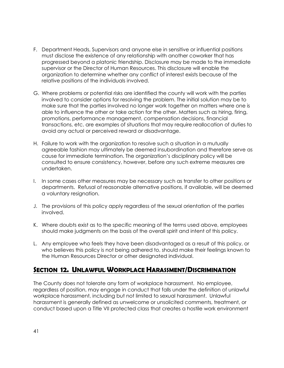- F. Department Heads, Supervisors and anyone else in sensitive or influential positions must disclose the existence of any relationship with another coworker that has progressed beyond a platonic friendship. Disclosure may be made to the immediate supervisor or the Director of Human Resources. This disclosure will enable the organization to determine whether any conflict of interest exists because of the relative positions of the individuals involved.
- G. Where problems or potential risks are identified the county will work with the parties involved to consider options for resolving the problem. The initial solution may be to make sure that the parties involved no longer work together on matters where one is able to influence the other or take action for the other. Matters such as hiring, firing, promotions, performance management, compensation decisions, financial transactions, etc. are examples of situations that may require reallocation of duties to avoid any actual or perceived reward or disadvantage.
- H. Failure to work with the organization to resolve such a situation in a mutually agreeable fashion may ultimately be deemed insubordination and therefore serve as cause for immediate termination. The organization's disciplinary policy will be consulted to ensure consistency, however, before any such extreme measures are undertaken.
- I. In some cases other measures may be necessary such as transfer to other positions or departments. Refusal of reasonable alternative positions, if available, will be deemed a voluntary resignation.
- J. The provisions of this policy apply regardless of the sexual orientation of the parties involved.
- K. Where doubts exist as to the specific meaning of the terms used above, employees should make judgments on the basis of the overall spirit and intent of this policy.
- L. Any employee who feels they have been disadvantaged as a result of this policy, or who believes this policy is not being adhered to, should make their feelings known to the Human Resources Director or other designated individual.

# *SECTION 12. UNLAWFUL WORKPLACE HARASSMENT/DISCRIMINATION*

The County does not tolerate any form of workplace harassment. No employee, regardless of position, may engage in conduct that falls under the definition of unlawful workplace harassment, including but not limited to sexual harassment. Unlawful harassment is generally defined as unwelcome or unsolicited comments, treatment, or conduct based upon a Title VII protected class that creates a hostile work environment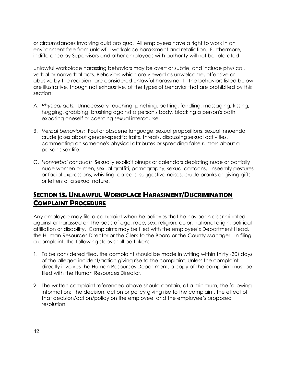or circumstances involving quid pro quo. All employees have a right to work in an environment free from unlawful workplace harassment and retaliation. Furthermore, indifference by Supervisors and other employees with authority will not be tolerated

Unlawful workplace harassing behaviors may be overt or subtle, and include physical, verbal or nonverbal acts. Behaviors which are viewed as unwelcome, offensive or abusive by the recipient are considered unlawful harassment. The behaviors listed below are illustrative, though not exhaustive, of the types of behavior that are prohibited by this section:

- A. *Physical acts:* Unnecessary touching, pinching, patting, fondling, massaging, kissing, hugging, grabbing, brushing against a person's body, blocking a person's path, exposing oneself or coercing sexual intercourse.
- B. *Verbal behaviors:* Foul or obscene language, sexual propositions, sexual innuendo, crude jokes about gender-specific traits, threats, discussing sexual activities, commenting on someone's physical attributes or spreading false rumors about a person's sex life.
- C. *Nonverbal conduct:* Sexually explicit pinups or calendars depicting nude or partially nude women or men, sexual graffiti, pornography, sexual cartoons, unseemly gestures or facial expressions, whistling, catcalls, suggestive noises, crude pranks or giving gifts or letters of a sexual nature.

# *SECTION 13. UNLAWFUL WORKPLACE HARASSMENT/DISCRIMINATION COMPLAINT PROCEDURE*

Any employee may file a complaint when he believes that he has been discriminated against or harassed on the basis of age, race, sex, religion, color, national origin, political affiliation or disability. Complaints may be filed with the employee's Department Head, the Human Resources Director or the Clerk to the Board or the County Manager. In filing a complaint, the following steps shall be taken:

- 1. To be considered filed, the complaint should be made in writing within thirty (30) days of the alleged incident/action giving rise to the complaint. Unless the complaint directly involves the Human Resources Department, a copy of the complaint must be filed with the Human Resources Director.
- 2. The written complaint referenced above should contain, at a minimum, the following information: the decision, action or policy giving rise to the complaint, the effect of that decision/action/policy on the employee, and the employee's proposed resolution.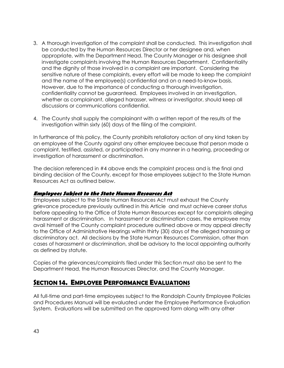- 3. A thorough investigation of the complaint shall be conducted. This investigation shall be conducted by the Human Resources Director or her designee and, when appropriate, with the Department Head. The County Manager or his designee shall investigate complaints involving the Human Resources Department. Confidentiality and the dignity of those involved in a complaint are important. Considering the sensitive nature of these complaints, every effort will be made to keep the complaint and the name of the employee(s) confidential and on a need-to-know basis. However, due to the importance of conducting a thorough investigation, confidentiality cannot be guaranteed. Employees involved in an investigation, whether as complainant, alleged harasser, witness or investigator, should keep all discussions or communications confidential.
- 4. The County shall supply the complainant with a written report of the results of the investigation within sixty (60) days of the filing of the complaint.

In furtherance of this policy, the County prohibits retaliatory action of any kind taken by an employee of the County against any other employee because that person made a complaint, testified, assisted, or participated in any manner in a hearing, proceeding or investigation of harassment or discrimination.

The decision referenced in #4 above ends the complaint process and is the final and binding decision of the County, except for those employees subject to the State Human Resources Act as outlined below.

### **Employees Subject to the State Human Resources Act**

Employees subject to the State Human Resources Act must exhaust the County grievance procedure previously outlined in this Article and must achieve career status before appealing to the Office of State Human Resources except for complaints alleging harassment or discrimination. In harassment or discrimination cases, the employee may avail himself of the County complaint procedure outlined above or may appeal directly to the Office of Administrative Hearings within thirty (30) days of the alleged harassing or discriminatory act. All decisions by the State Human Resources Commission, other than cases of harassment or discrimination, shall be advisory to the local appointing authority as defined by statute.

Copies of the grievances/complaints filed under this Section must also be sent to the Department Head, the Human Resources Director, and the County Manager.

# *SECTION 14. EMPLOYEE PERFORMANCE EVALUATIONS*

All full-time and part-time employees subject to the Randolph County Employee Policies and Procedures Manual will be evaluated under the Employee Performance Evaluation System. Evaluations will be submitted on the approved form along with any other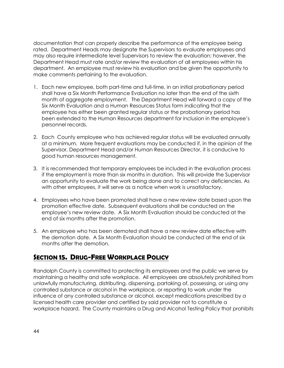documentation that can properly describe the performance of the employee being rated. Department Heads may designate the Supervisors to evaluate employees and may also require intermediate level Supervisors to review the evaluation; however, the Department Head must rate and/or review the evaluation of all employees within his department. An employee must review his evaluation and be given the opportunity to make comments pertaining to the evaluation.

- 1. Each new employee, both part-time and full-time, in an initial probationary period shall have a Six Month Performance Evaluation no later than the end of the sixth month of aggregate employment. The Department Head will forward a copy of the Six Month Evaluation and a Human Resources Status form indicating that the employee has either been granted regular status or the probationary period has been extended to the Human Resources department for inclusion in the employee's personnel records.
- 2. Each County employee who has achieved regular status will be evaluated annually at a minimum. More frequent evaluations may be conducted if, in the opinion of the Supervisor, Department Head and/or Human Resources Director, it is conducive to good human resources management.
- 3. It is recommended that temporary employees be included in the evaluation process if the employment is more than six months in duration. This will provide the Supervisor an opportunity to evaluate the work being done and to correct any deficiencies. As with other employees, it will serve as a notice when work is unsatisfactory.
- 4. Employees who have been promoted shall have a new review date based upon the promotion effective date. Subsequent evaluations shall be conducted on the employee's new review date. A Six Month Evaluation should be conducted at the end of six months after the promotion.
- 5. An employee who has been demoted shall have a new review date effective with the demotion date. A Six Month Evaluation should be conducted at the end of six months after the demotion.

# *SECTION 15. DRUG-FREE WORKPLACE POLICY*

Randolph County is committed to protecting its employees and the public we serve by maintaining a healthy and safe workplace. All employees are absolutely prohibited from unlawfully manufacturing, distributing, dispensing, partaking of, possessing, or using any controlled substance or alcohol in the workplace, or reporting to work under the influence of any controlled substance or alcohol, except medications prescribed by a licensed health care provider and certified by said provider not to constitute a workplace hazard. The County maintains a Drug and Alcohol Testing Policy that prohibits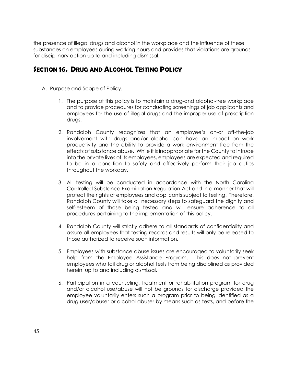the presence of illegal drugs and alcohol in the workplace and the influence of these substances on employees during working hours and provides that violations are grounds for disciplinary action up to and including dismissal.

# *SECTION 16. DRUG AND ALCOHOL TESTING POLICY*

- A. Purpose and Scope of Policy.
	- 1. The purpose of this policy is to maintain a drug-and alcohol-free workplace and to provide procedures for conducting screenings of job applicants and employees for the use of illegal drugs and the improper use of prescription drugs.
	- 2. Randolph County recognizes that an employee's on-or off-the-job involvement with drugs and/or alcohol can have an impact on work productivity and the ability to provide a work environment free from the effects of substance abuse. While it is inappropriate for the County to intrude into the private lives of its employees, employees are expected and required to be in a condition to safely and effectively perform their job duties throughout the workday.
	- 3. All testing will be conducted in accordance with the North Carolina Controlled Substance Examination Regulation Act and in a manner that will protect the rights of employees and applicants subject to testing. Therefore, Randolph County will take all necessary steps to safeguard the dignity and self-esteem of those being tested and will ensure adherence to all procedures pertaining to the implementation of this policy.
	- 4. Randolph County will strictly adhere to all standards of confidentiality and assure all employees that testing records and results will only be released to those authorized to receive such information.
	- 5. Employees with substance abuse issues are encouraged to voluntarily seek help from the Employee Assistance Program. This does not prevent employees who fail drug or alcohol tests from being disciplined as provided herein, up to and including dismissal.
	- 6. Participation in a counseling, treatment or rehabilitation program for drug and/or alcohol use/abuse will not be grounds for discharge provided the employee voluntarily enters such a program prior to being identified as a drug user/abuser or alcohol abuser by means such as tests, and before the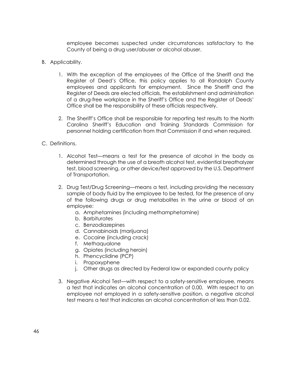employee becomes suspected under circumstances satisfactory to the County of being a drug user/abuser or alcohol abuser.

- B. Applicability.
	- 1. With the exception of the employees of the Office of the Sheriff and the Register of Deed's Office, this policy applies to all Randolph County employees and applicants for employment. Since the Sheriff and the Register of Deeds are elected officials, the establishment and administration of a drug-free workplace in the Sheriff's Office and the Register of Deeds' Office shall be the responsibility of these officials respectively.
	- 2. The Sheriff's Office shall be responsible for reporting test results to the North Carolina Sheriff's Education and Training Standards Commission for personnel holding certification from that Commission if and when required.
- C. Definitions.
	- 1. Alcohol Test—means a test for the presence of alcohol in the body as determined through the use of a breath alcohol test, evidential breathalyzer test, blood screening, or other device/test approved by the U.S. Department of Transportation.
	- 2. Drug Test/Drug Screening—means a test, including providing the necessary sample of body fluid by the employee to be tested, for the presence of any of the following drugs or drug metabolites in the urine or blood of an employee:
		- a. Amphetamines (including methamphetamine)
		- b. Barbiturates
		- c. Benzodiazepines
		- d. Cannabinoids (marijuana)
		- e. Cocaine (including crack)
		- f. Methaqualone
		- g. Opiates (including heroin)
		- h. Phencyclidine (PCP)
		- i. Propoxyphene
		- j. Other drugs as directed by Federal law or expanded county policy
	- 3. Negative Alcohol Test—with respect to a safety-sensitive employee, means a test that indicates an alcohol concentration of 0.00. With respect to an employee not employed in a safety-sensitive position, a negative alcohol test means a test that indicates an alcohol concentration of less than 0.02.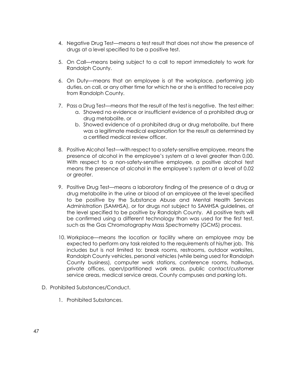- 4. Negative Drug Test—means a test result that does not show the presence of drugs at a level specified to be a positive test.
- 5. On Call—means being subject to a call to report immediately to work for Randolph County.
- 6. On Duty—means that an employee is at the workplace, performing job duties, on call, or any other time for which he or she is entitled to receive pay from Randolph County.
- 7. Pass a Drug Test—means that the result of the test is negative. The test either:
	- a. Showed no evidence or insufficient evidence of a prohibited drug or drug metabolite, or
	- b. Showed evidence of a prohibited drug or drug metabolite, but there was a legitimate medical explanation for the result as determined by a certified medical review officer.
- 8. Positive Alcohol Test—with respect to a safety-sensitive employee, means the presence of alcohol in the employee's system at a level greater than 0.00. With respect to a non-safety-sensitive employee, a positive alcohol test means the presence of alcohol in the employee's system at a level of 0.02 or greater.
- 9. Positive Drug Test—means a laboratory finding of the presence of a drug or drug metabolite in the urine or blood of an employee at the level specified to be positive by the Substance Abuse and Mental Health Services Administration (SAMHSA), or for drugs not subject to SAMHSA guidelines, at the level specified to be positive by Randolph County. All positive tests will be confirmed using a different technology than was used for the first test, such as the Gas Chromatography Mass Spectrometry (GCMS) process.
- 10. Workplace—means the location or facility where an employee may be expected to perform any task related to the requirements of his/her job. This includes but is not limited to: break rooms, restrooms, outdoor worksites, Randolph County vehicles, personal vehicles (while being used for Randolph County business), computer work stations, conference rooms, hallways, private offices, open/partitioned work areas, public contact/customer service areas, medical service areas, County campuses and parking lots.
- D. Prohibited Substances/Conduct.
	- 1. Prohibited Substances.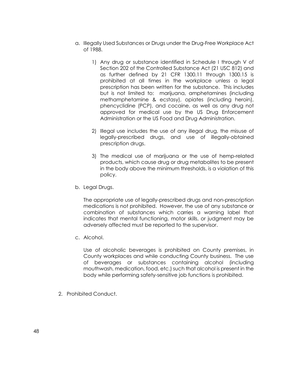- a. Illegally Used Substances or Drugs under the Drug-Free Workplace Act of 1988.
	- 1) Any drug or substance identified in Schedule I through V of Section 202 of the Controlled Substance Act (21 USC 812) and as further defined by 21 CFR 1300.11 through 1300.15 is prohibited at all times in the workplace unless a legal prescription has been written for the substance. This includes but is not limited to: marijuana, amphetamines (including methamphetamine & ecstasy), opiates (including heroin), phencyclidine (PCP), and cocaine, as well as any drug not approved for medical use by the US Drug Enforcement Administration or the US Food and Drug Administration.
	- 2) Illegal use includes the use of any illegal drug, the misuse of legally-prescribed drugs, and use of illegally-obtained prescription drugs.
	- 3) The medical use of marijuana or the use of hemp-related products, which cause drug or drug metabolites to be present in the body above the minimum thresholds, is a violation of this policy.
- b. Legal Drugs.

The appropriate use of legally-prescribed drugs and non-prescription medications is not prohibited. However, the use of any substance or combination of substances which carries a warning label that indicates that mental functioning, motor skills, or judgment may be adversely affected must be reported to the supervisor.

c. Alcohol.

Use of alcoholic beverages is prohibited on County premises, in County workplaces and while conducting County business. The use of beverages or substances containing alcohol (including mouthwash, medication, food, etc.) such that alcohol is present in the body while performing safety-sensitive job functions is prohibited.

2. Prohibited Conduct.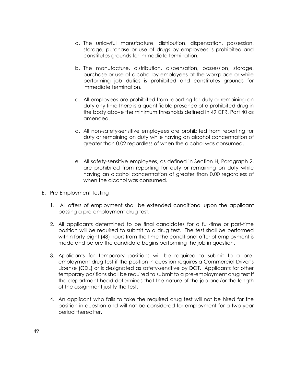- a. The unlawful manufacture, distribution, dispensation, possession, storage, purchase or use of drugs by employees is prohibited and constitutes grounds for immediate termination.
- b. The manufacture, distribution, dispensation, possession, storage, purchase or use of alcohol by employees at the workplace or while performing job duties is prohibited and constitutes grounds for immediate termination.
- c. All employees are prohibited from reporting for duty or remaining on duty any time there is a quantifiable presence of a prohibited drug in the body above the minimum thresholds defined in 49 CFR, Part 40 as amended.
- d. All non-safety-sensitive employees are prohibited from reporting for duty or remaining on duty while having an alcohol concentration of greater than 0.02 regardless of when the alcohol was consumed.
- e. All safety-sensitive employees, as defined in Section H, Paragraph 2, are prohibited from reporting for duty or remaining on duty while having an alcohol concentration of greater than 0.00 regardless of when the alcohol was consumed.
- E. Pre-Employment Testing
	- 1. All offers of employment shall be extended conditional upon the applicant passing a pre-employment drug test.
	- 2. All applicants determined to be final candidates for a full-time or part-time position will be required to submit to a drug test. The test shall be performed within forty-eight (48) hours from the time the conditional offer of employment is made and before the candidate begins performing the job in question.
	- 3. Applicants for temporary positions will be required to submit to a preemployment drug test if the position in question requires a Commercial Driver's License (CDL) or is designated as safety-sensitive by DOT. Applicants for other temporary positions shall be required to submit to a pre-employment drug test if the department head determines that the nature of the job and/or the length of the assignment justify the test.
	- 4. An applicant who fails to take the required drug test will not be hired for the position in question and will not be considered for employment for a two-year period thereafter.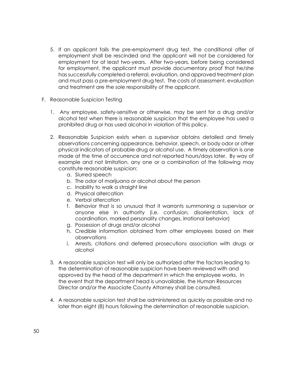- 5. If an applicant fails the pre-employment drug test, the conditional offer of employment shall be rescinded and the applicant will not be considered for employment for at least two-years. After two-years, before being considered for employment, the applicant must provide documentary proof that he/she has successfully completed a referral, evaluation, and approved treatment plan and must pass a pre-employment drug test. The costs of assessment, evaluation and treatment are the sole responsibility of the applicant.
- F. Reasonable Suspicion Testing
	- 1. Any employee, safety-sensitive or otherwise, may be sent for a drug and/or alcohol test when there is reasonable suspicion that the employee has used a prohibited drug or has used alcohol in violation of this policy.
	- 2. Reasonable Suspicion exists when a supervisor obtains detailed and timely observations concerning appearance, behavior, speech, or body odor or other physical indicators of probable drug or alcohol use. A timely observation is one made at the time of occurrence and not reported hours/days later. By way of example and not limitation, any one or a combination of the following may constitute reasonable suspicion:
		- a. Slurred speech
		- b. The odor of marijuana or alcohol about the person
		- c. Inability to walk a straight line
		- d. Physical altercation
		- e. Verbal altercation
		- f. Behavior that is so unusual that it warrants summoning a supervisor or anyone else in authority (i.e. confusion, disorientation, lack of coordination, marked personality changes, irrational behavior)
		- g. Possession of drugs and/or alcohol
		- h. Credible information obtained from other employees based on their observations
		- i. Arrests, citations and deferred prosecutions association with drugs or alcohol
	- 3. A reasonable suspicion test will only be authorized after the factors leading to the determination of reasonable suspicion have been reviewed with and approved by the head of the department in which the employee works. In the event that the department head is unavailable, the Human Resources Director and/or the Associate County Attorney shall be consulted.
	- 4. A reasonable suspicion test shall be administered as quickly as possible and no later than eight (8) hours following the determination of reasonable suspicion.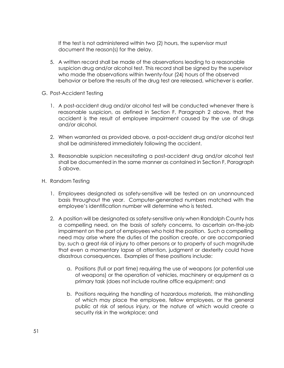If the test is not administered within two (2) hours, the supervisor must document the reason(s) for the delay.

- 5. A written record shall be made of the observations leading to a reasonable suspicion drug and/or alcohol test. This record shall be signed by the supervisor who made the observations within twenty-four (24) hours of the observed behavior or before the results of the drug test are released, whichever is earlier.
- G. Post-Accident Testing
	- 1. A post-accident drug and/or alcohol test will be conducted whenever there is reasonable suspicion, as defined in Section F, Paragraph 2 above, that the accident is the result of employee impairment caused by the use of drugs and/or alcohol.
	- 2. When warranted as provided above, a post-accident drug and/or alcohol test shall be administered immediately following the accident.
	- 3. Reasonable suspicion necessitating a post-accident drug and/or alcohol test shall be documented in the same manner as contained in Section F, Paragraph 5 above.
- H. Random Testing
	- 1. Employees designated as safety-sensitive will be tested on an unannounced basis throughout the year. Computer-generated numbers matched with the employee's identification number will determine who is tested.
	- 2. A position will be designated as safety-sensitive only when Randolph County has a compelling need, on the basis of safety concerns, to ascertain on-the-job impairment on the part of employees who hold the position. Such a compelling need may arise where the duties of the position create, or are accompanied by, such a great risk of injury to other persons or to property of such magnitude that even a momentary lapse of attention, judgment or dexterity could have disastrous consequences. Examples of these positions include:
		- a. Positions (full or part time) requiring the use of weapons (or potential use of weapons) or the operation of vehicles, machinery or equipment as a primary task (does not include routine office equipment; and
		- b. Positions requiring the handling of hazardous materials, the mishandling of which may place the employee, fellow employees, or the general public at risk of serious injury, or the nature of which would create a security risk in the workplace; and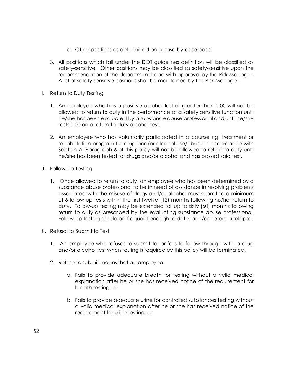- c. Other positions as determined on a case-by-case basis.
- 3. All positions which fall under the DOT guidelines definition will be classified as safety-sensitive. Other positions may be classified as safety-sensitive upon the recommendation of the department head with approval by the Risk Manager. A list of safety-sensitive positions shall be maintained by the Risk Manager.
- I. Return to Duty Testing
	- 1. An employee who has a positive alcohol test of greater than 0.00 will not be allowed to return to duty in the performance of a safety sensitive function until he/she has been evaluated by a substance abuse professional and until he/she tests 0.00 on a return-to-duty alcohol test.
	- 2. An employee who has voluntarily participated in a counseling, treatment or rehabilitation program for drug and/or alcohol use/abuse in accordance with Section A, Paragraph 6 of this policy will not be allowed to return to duty until he/she has been tested for drugs and/or alcohol and has passed said test.
- J. Follow-Up Testing
	- 1. Once allowed to return to duty, an employee who has been determined by a substance abuse professional to be in need of assistance in resolving problems associated with the misuse of drugs and/or alcohol must submit to a minimum of 6 follow-up tests within the first twelve (12) months following his/her return to duty. Follow-up testing may be extended for up to sixty (60) months following return to duty as prescribed by the evaluating substance abuse professional. Follow-up testing should be frequent enough to deter and/or detect a relapse.
- K. Refusal to Submit to Test
	- 1. An employee who refuses to submit to, or fails to follow through with, a drug and/or alcohol test when testing is required by this policy will be terminated.
	- 2. Refuse to submit means that an employee:
		- a. Fails to provide adequate breath for testing without a valid medical explanation after he or she has received notice of the requirement for breath testing; or
		- b. Fails to provide adequate urine for controlled substances testing without a valid medical explanation after he or she has received notice of the requirement for urine testing; or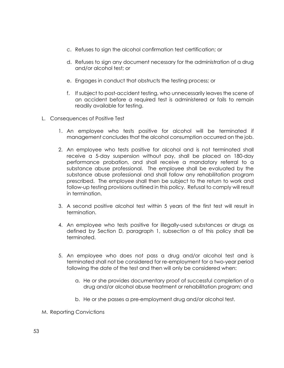- c. Refuses to sign the alcohol confirmation test certification; or
- d. Refuses to sign any document necessary for the administration of a drug and/or alcohol test; or
- e. Engages in conduct that obstructs the testing process; or
- f. If subject to post-accident testing, who unnecessarily leaves the scene of an accident before a required test is administered or fails to remain readily available for testing.
- L. Consequences of Positive Test
	- 1. An employee who tests positive for alcohol will be terminated if management concludes that the alcohol consumption occurred on the job.
	- 2. An employee who tests positive for alcohol and is not terminated shall receive a 5-day suspension without pay, shall be placed on 180-day performance probation, and shall receive a mandatory referral to a substance abuse professional. The employee shall be evaluated by the substance abuse professional and shall follow any rehabilitation program prescribed. The employee shall then be subject to the return to work and follow-up testing provisions outlined in this policy. Refusal to comply will result in termination.
	- 3. A second positive alcohol test within 5 years of the first test will result in termination.
	- 4. An employee who tests positive for illegally-used substances or drugs as defined by Section D, paragraph 1, subsection a of this policy shall be terminated.
	- 5. An employee who does not pass a drug and/or alcohol test and is terminated shall not be considered for re-employment for a two-year period following the date of the test and then will only be considered when:
		- a. He or she provides documentary proof of successful completion of a drug and/or alcohol abuse treatment or rehabilitation program; and
		- b. He or she passes a pre-employment drug and/or alcohol test.
- M. Reporting Convictions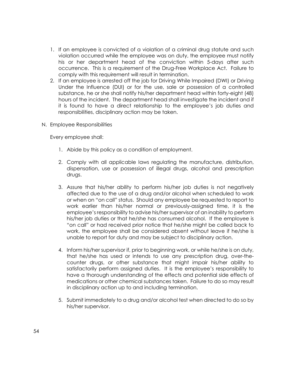- 1. If an employee is convicted of a violation of a criminal drug statute and such violation occurred while the employee was on duty, the employee must notify his or her department head of the conviction within 5-days after such occurrence. This is a requirement of the Drug-Free Workplace Act. Failure to comply with this requirement will result in termination.
- 2. If an employee is arrested off the job for Driving While Impaired (DWI) or Driving Under the Influence (DUI) or for the use, sale or possession of a controlled substance, he or she shall notify his/her department head within forty-eight (48) hours of the incident. The department head shall investigate the incident and if it is found to have a direct relationship to the employee's job duties and responsibilities, disciplinary action may be taken.
- N. Employee Responsibilities

Every employee shall:

- 1. Abide by this policy as a condition of employment.
- 2. Comply with all applicable laws regulating the manufacture, distribution, dispensation, use or possession of illegal drugs, alcohol and prescription drugs.
- 3. Assure that his/her ability to perform his/her job duties is not negatively affected due to the use of a drug and/or alcohol when scheduled to work or when on "on call" status. Should any employee be requested to report to work earlier than his/her normal or previously-assigned time, it is the employee's responsibility to advise his/her supervisor of an inability to perform his/her job duties or that he/she has consumed alcohol. If the employee is "on call" or had received prior notice that he/she might be called back to work, the employee shall be considered absent without leave if he/she is unable to report for duty and may be subject to disciplinary action.
- 4. Inform his/her supervisor if, prior to beginning work, or while he/she is on duty, that he/she has used or intends to use any prescription drug, over-thecounter drugs, or other substance that might impair his/her ability to satisfactorily perform assigned duties. It is the employee's responsibility to have a thorough understanding of the effects and potential side effects of medications or other chemical substances taken. Failure to do so may result in disciplinary action up to and including termination.
- 5. Submit immediately to a drug and/or alcohol test when directed to do so by his/her supervisor.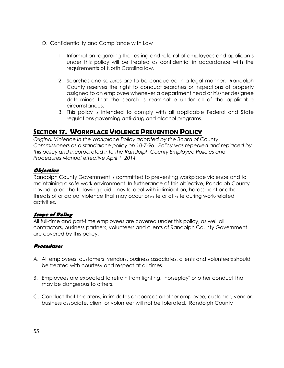- O. Confidentiality and Compliance with Law
	- 1. Information regarding the testing and referral of employees and applicants under this policy will be treated as confidential in accordance with the requirements of North Carolina law.
	- 2. Searches and seizures are to be conducted in a legal manner. Randolph County reserves the right to conduct searches or inspections of property assigned to an employee whenever a department head or his/her designee determines that the search is reasonable under all of the applicable circumstances.
	- 3. This policy is intended to comply with all applicable Federal and State regulations governing anti-drug and alcohol programs.

# *SECTION 17. WORKPLACE VIOLENCE PREVENTION POLICY*

*Original Violence in the Workplace Policy adopted by the Board of County Commissioners as a standalone policy on 10-7-96. Policy was repealed and replaced by this policy and incorporated into the Randolph County Employee Policies and Procedures Manual effective April 1, 2014.* 

# **Objective**

Randolph County Government is committed to preventing workplace violence and to maintaining a safe work environment. In furtherance of this objective, Randolph County has adopted the following guidelines to deal with intimidation, harassment or other threats of or actual violence that may occur on-site or off-site during work-related activities.

# **Scope of Policy**

All full-time and part-time employees are covered under this policy, as well all contractors, business partners, volunteers and clients of Randolph County Government are covered by this policy.

# **Procedures**

- A. All employees, customers, vendors, business associates, clients and volunteers should be treated with courtesy and respect at all times.
- B. Employees are expected to refrain from fighting, "horseplay" or other conduct that may be dangerous to others.
- C. Conduct that threatens, intimidates or coerces another employee, customer, vendor, business associate, client or volunteer will not be tolerated. Randolph County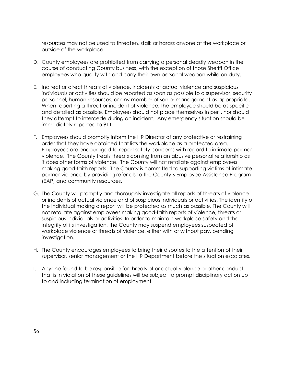resources may not be used to threaten, stalk or harass anyone at the workplace or outside of the workplace.

- D. County employees are prohibited from carrying a personal deadly weapon in the course of conducting County business, with the exception of those Sheriff Office employees who qualify with and carry their own personal weapon while on duty.
- E. Indirect or direct threats of violence, incidents of actual violence and suspicious individuals or activities should be reported as soon as possible to a supervisor, security personnel, human resources, or any member of senior management as appropriate. When reporting a threat or incident of violence, the employee should be as specific and detailed as possible. Employees should not place themselves in peril, nor should they attempt to intercede during an incident. Any emergency situation should be immediately reported to 911.
- F. Employees should promptly inform the HR Director of any protective or restraining order that they have obtained that lists the workplace as a protected area. Employees are encouraged to report safety concerns with regard to intimate partner violence. The County treats threats coming from an abusive personal relationship as it does other forms of violence. The County will not retaliate against employees making good-faith reports. The County is committed to supporting victims of intimate partner violence by providing referrals to the County's Employee Assistance Program (EAP) and community resources.
- G. The County will promptly and thoroughly investigate all reports of threats of violence or incidents of actual violence and of suspicious individuals or activities. The identity of the individual making a report will be protected as much as possible. The County will not retaliate against employees making good-faith reports of violence, threats or suspicious individuals or activities. In order to maintain workplace safety and the integrity of its investigation, the County may suspend employees suspected of workplace violence or threats of violence, either with or without pay, pending investigation.
- H. The County encourages employees to bring their disputes to the attention of their supervisor, senior management or the HR Department before the situation escalates.
- I. Anyone found to be responsible for threats of or actual violence or other conduct that is in violation of these guidelines will be subject to prompt disciplinary action up to and including termination of employment.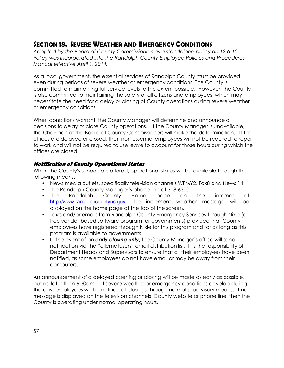# *SECTION 18. SEVERE WEATHER AND EMERGENCY CONDITIONS*

*Adopted by the Board of County Commissioners as a standalone policy on 12-6-10. Policy was incorporated into the Randolph County Employee Policies and Procedures Manual effective April 1, 2014.* 

As a local government, the essential services of Randolph County must be provided even during periods of severe weather or emergency conditions. The County is committed to maintaining full service levels to the extent possible. However, the County is also committed to maintaining the safety of all citizens and employees, which may necessitate the need for a delay or closing of County operations during severe weather or emergency conditions.

When conditions warrant, the County Manager will determine and announce all decisions to delay or close County operations. If the County Manager is unavailable, the Chairman of the Board of County Commissioners will make the determination. If the offices are delayed or closed, then non-essential employees will not be required to report to work and will not be required to use leave to account for those hours during which the offices are closed.

# **Notification of County Operational Status**

When the County's schedule is altered, operational status will be available through the following means:

- News media outlets, specifically television channels WFMY2, Fox8 and News 14.
- The Randolph County Manager's phone line at 318-6300.
- The Randolph County Home page on the internet at [http://www.randolph](http://www.RandolphCountyNC.gov/)countync.gov. The inclement weather message will be displayed on the home page at the top of the screen.
- Texts and/or emails from Randolph County Emergency Services through Nixle (a free vendor-based software program for governments) provided that County employees have registered through Nixle for this program and for as long as this program is available to governments.
- In the event of an *early closing only*, the County Manager's office will send notification via the "allemailusers" email distribution list. It is the responsibility of Department Heads and Supervisors to ensure that all their employees have been notified, as some employees do not have email or may be away from their computers.

An announcement of a delayed opening or closing will be made as early as possible, but no later than 6:30am. If severe weather or emergency conditions develop during the day, employees will be notified of closings through normal supervisory means. If no message is displayed on the television channels, County website or phone line, then the County is operating under normal operating hours.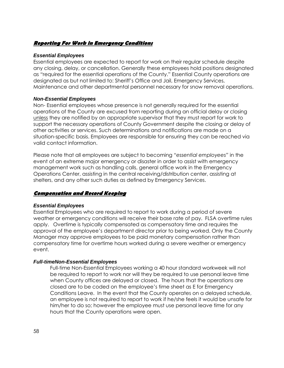### **Reporting For Work in Emergency Conditions**

#### **Essential Employees**

Essential employees are expected to report for work on their regular schedule despite any closing, delay, or cancellation. Generally these employees hold positions designated as "required for the essential operations of the County." Essential County operations are designated as but not limited to: Sheriff's Office and Jail, Emergency Services, Maintenance and other departmental personnel necessary for snow removal operations.

#### **Non-Essential Employees**

Non- Essential employees whose presence is not generally required for the essential operations of the County are excused from reporting during an official delay or closing unless they are notified by an appropriate supervisor that they must report for work to support the necessary operations of County Government despite the closing or delay of other activities or services. Such determinations and notifications are made on a situation-specific basis. Employees are responsible for ensuring they can be reached via valid contact information.

Please note that all employees are subject to becoming "*essential employees"* in the event of an extreme major emergency or disaster in order to assist with emergency management work such as handling calls, general office work in the Emergency Operations Center, assisting in the central receiving/distribution center, assisting at shelters, and any other such duties as defined by Emergency Services.

### **Compensation and Record Keeping**

### **Essential Employees**

Essential Employees who are required to report to work during a period of severe weather or emergency conditions will receive their base rate of pay. FLSA overtime rules apply. Overtime is typically compensated as compensatory time and requires the approval of the employee's department director prior to being worked. Only the County Manager may approve employees to be paid monetary compensation rather than compensatory time for overtime hours worked during a severe weather or emergency event.

#### **Full-timeNon-Essential Employees**

Full-time Non-Essential Employees working a 40 hour standard workweek will not be required to report to work nor will they be required to use personal leave time when County offices are delayed or closed. The hours that the operations are closed are to be coded on the employee's time sheet as E for Emergency Conditions Leave. In the event that the County operates on a delayed schedule, an employee is not required to report to work if he/she feels it would be unsafe for him/her to do so; however the employee must use personal leave time for any hours that the County operations were open.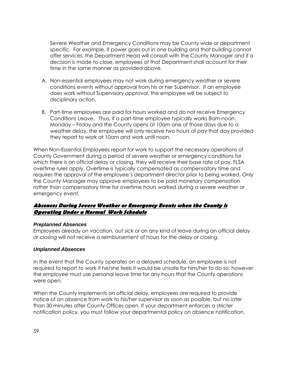Severe Weather and Emergency Conditions may be County wide or department specific. For example, if power goes out in one building and that building cannot offer services, the Department Head will consult with the County Manager and if a decision is made to close, employees of that Department shall account for their time in the same manner as provided above.

- A. Non-essential employees may not work during emergency weather or severe conditions events without approval from his or her Supervisor. If an employee does work without Supervisory approval, the employee will be subject to disciplinary action.
- B. Part-time employees are paid for hours worked and do not receive Emergency Conditions Leave. Thus, if a part-time employee typically works 8am-noon, Monday – Friday and the County opens at 10am one of those days due to a weather delay, the employee will only receive two hours of pay that day provided they report to work at 10am and work until noon.

When Non-Essential Employees report for work to support the necessary operations of County Government during a period of severe weather or emergency conditions for which there is an official delay or closing, they will receive their base rate of pay. FLSA overtime rules apply. Overtime is typically compensated as compensatory time and requires the approval of the employee's department director prior to being worked. Only the County Manager may approve employees to be paid monetary compensation rather than compensatory time for overtime hours worked during a severe weather or emergency event.

#### **Absences During Severe Weather or Emergency Events when the County is Operating Under a Normal Work Schedule**

#### **Preplanned Absences**

Employees already on vacation, out sick or on any kind of leave during an official delay or closing will not receive a reimbursement of hours for the delay or closing.

### **Unplanned Absences**

In the event that the County operates on a delayed schedule, an employee is not required to report to work if he/she feels it would be unsafe for him/her to do so; however the employee must use personal leave time for any hours that the County operations were open.

When the County implements an official delay, employees are required to provide notice of an absence from work to his/her supervisor as soon as possible, but no later than 30 minutes after County Offices open. If your department enforces a stricter notification policy, you must follow your departmental policy on absence notification.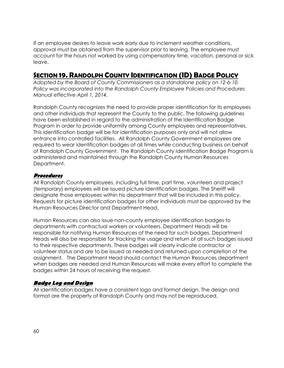If an employee desires to leave work early due to inclement weather conditions, approval must be obtained from the supervisor prior to leaving. The employee must account for the hours not worked by using compensatory time, vacation, personal or sick leave.

# *SECTION 19. RANDOLPH COUNTY IDENTIFICATION (ID) BADGE POLICY*

*Adopted by the Board of County Commissioners as a standalone policy on 12-6-10. Policy was incorporated into the Randolph County Employee Policies and Procedures Manual effective April 1, 2014.* 

Randolph County recognizes the need to provide proper identification for its employees and other individuals that represent the County to the public. The following guidelines have been established in regard to the administration of the Identification Badge Program in order to provide uniformity among County employees and representatives. This identification badge will be for identification purposes only and will not allow entrance into controlled facilities. All Randolph County Government employees are required to wear identification badges at all times while conducting business on behalf of Randolph County Government. The Randolph County Identification Badge Program is administered and maintained through the Randolph County Human Resources Department.

### **Procedures**

All Randolph County employees, including full time, part time, volunteers and project (temporary) employees will be issued picture identification badges. The Sheriff will designate those employees within his department that will be included in this policy. Requests for picture identification badges for other individuals must be approved by the Human Resources Director and Department Head.

Human Resources can also issue non-county employee identification badges to departments with contractual workers or volunteers. Department Heads will be responsible for notifying Human Resources of the need for such badges. Department Heads will also be responsible for tracking the usage and return of all such badges issued to their respective departments. These badges will clearly indicate contractor or volunteer status and are to be issued as needed and returned upon completion of the assignment. The Department Head should contact the Human Resources department when badges are needed and Human Resources will make every effort to complete the badges within 24 hours of receiving the request.

# **Badge Log and Design**

All identification badges have a consistent logo and format design. The design and format are the property of Randolph County and may not be reproduced.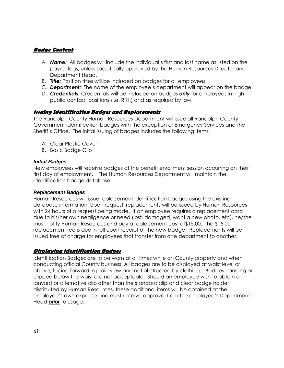### **Badge Content**

- A. *Name:* All badges will include the individual's first and last name as listed on the payroll logs, unless specifically approved by the Human Resources Director and Department Head.
- B. *Title:* Position titles will be included on badges for all employees.
- C. *Department:* The name of the employee's department will appear on the badge.
- D. *Credentials:* Credentials will be included on badges *only* for employees in high public contact positions (i.e. R.N.) and as required by law.

### **Issuing Identification Badges and Replacements**

The Randolph County Human Resources Department will issue all Randolph County Government identification badges with the exception of Emergency Services and the Sheriff's Office. The initial issuing of badges includes the following items:

- A. Clear Plastic Cover
- B. Basic Badge Clip

#### **Initial Badges**

New employees will receive badges at the benefit enrollment session occurring on their first day of employment. The Human Resources Department will maintain the identification badge database.

#### **Replacement Badges**

Human Resources will issue replacement identification badges using the existing database information. Upon request, replacements will be issued by Human Resources with 24 hours of a request being made. If an employee requires a replacement card due to his/her own negligence or need (lost, damaged, want a new photo, etc), he/she must notify Human Resources and pay a replacement cost of\$15.00. The \$15.00 replacement fee is due in full upon receipt of the new badge. Replacements will be issued free of charge for employees that transfer from one department to another.

### **Displaying Identification Badges**

Identification Badges are to be worn at all times while on County property and when conducting official County business. All badges are to be displayed at waist level or above, facing forward in plain view and not obstructed by clothing. Badges hanging or clipped below the waist are not acceptable. Should an employee wish to obtain a lanyard or alternative clip other than the standard clip and clear badge holder distributed by Human Resources, these additional items will be obtained at the employee's own expense and must receive approval from the employee's Department Head *prior* to usage.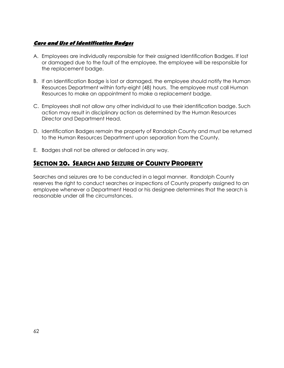# **Care and Use of Identification Badges**

- A. Employees are individually responsible for their assigned Identification Badges. If lost or damaged due to the fault of the employee, the employee will be responsible for the replacement badge.
- B. If an Identification Badge is lost or damaged, the employee should notify the Human Resources Department within forty-eight (48) hours. The employee must call Human Resources to make an appointment to make a replacement badge.
- C. Employees shall not allow any other individual to use their identification badge. Such action may result in disciplinary action as determined by the Human Resources Director and Department Head.
- D. Identification Badges remain the property of Randolph County and must be returned to the Human Resources Department upon separation from the County.
- E. Badges shall not be altered or defaced in any way.

# *SECTION 20. SEARCH AND SEIZURE OF COUNTY PROPERTY*

Searches and seizures are to be conducted in a legal manner. Randolph County reserves the right to conduct searches or inspections of County property assigned to an employee whenever a Department Head or his designee determines that the search is reasonable under all the circumstances.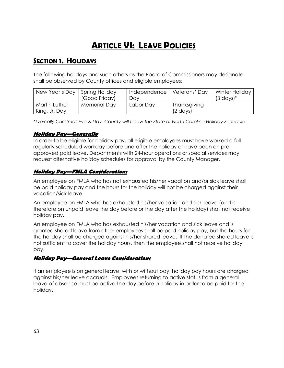# *ARTICLE VI: LEAVE POLICIES*

# *SECTION 1. HOLIDAYS*

The following holidays and such others as the Board of Commissioners may designate shall be observed by County offices and eligible employees:

| New Year's Day   Spring Holiday |                     | Independence   Veterans' Day |                    | Winter Holiday       |
|---------------------------------|---------------------|------------------------------|--------------------|----------------------|
|                                 | (Good Friday)       | Dav                          |                    | $(3 \text{ days})^*$ |
| <b>Martin Luther</b>            | <b>Memorial Day</b> | Labor Day                    | Thanksgiving       |                      |
| King, Jr. Day                   |                     |                              | $(2 \text{ days})$ |                      |

*\*Typically Christmas Eve & Day. County will follow the State of North Carolina Holiday Schedule.* 

### **Holiday Pay—Generally**

In order to be eligible for holiday pay, all eligible employees must have worked a full regularly scheduled workday before and after the holiday or have been on preapproved paid leave. Departments with 24-hour operations or special services may request alternative holiday schedules for approval by the County Manager.

# **Holiday Pay—FMLA Considerations**

An employee on FMLA who has not exhausted his/her vacation and/or sick leave shall be paid holiday pay and the hours for the holiday will not be charged against their vacation/sick leave.

An employee on FMLA who has exhausted his/her vacation and sick leave (and is therefore on unpaid leave the day before or the day after the holiday) shall not receive holiday pay.

An employee on FMLA who has exhausted his/her vacation and sick leave and is granted shared leave from other employees shall be paid holiday pay, but the hours for the holiday shall be charged against his/her shared leave. If the donated shared leave is not sufficient to cover the holiday hours, then the employee shall not receive holiday pay.

# **Holiday Pay—General Leave Considerations**

If an employee is on general leave, with or without pay, holiday pay hours are charged against his/her leave accruals. Employees returning to active status from a general leave of absence must be active the day before a holiday in order to be paid for the holiday.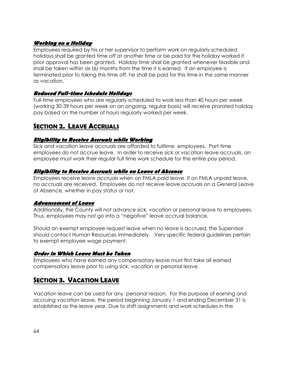### **Working on a Holiday**

Employees required by his or her supervisor to perform work on regularly scheduled holidays shall be granted time off at another time or be paid for the holiday worked if prior approval has been granted. Holiday time shall be granted whenever feasible and shall be taken within six (6) months from the time it is earned. If an employee is terminated prior to taking this time off, he shall be paid for this time in the same manner as vacation.

### **Reduced Full-time Schedule Holidays**

Full-time employees who are regularly scheduled to work less than 40 hours per week (working 30-39 hours per week on an ongoing, regular basis) will receive prorated holiday pay based on the number of hours regularly worked per week.

# *SECTION 2. LEAVE ACCRUALS*

### **Eligibility to Receive Accruals while Working**

Sick and vacation leave accruals are afforded to fulltime employees. Part-time employees do not accrue leave. In order to receive sick or vacation leave accruals, an employee must work their regular full time work schedule for the entire pay period.

### **Eligibility to Receive Accruals while on Leave of Absence**

Employees receive leave accruals when on FMLA paid leave. If on FMLA unpaid leave, no accruals are received. Employees do not receive leave accruals on a General Leave of Absence, whether in pay status or not.

# **Advancement of Leave**

Additionally, the County will not advance sick, vacation or personal leave to employees. Thus, employees may not go into a "negative" leave accrual balance.

Should an exempt employee request leave when no leave is accrued, the Supervisor should contact Human Resources immediately. Very specific federal guidelines pertain to exempt employee wage payment.

### **Order in Which Leave Must be Taken**

Employees who have earned any compensatory leave must first take all earned compensatory leave prior to using sick, vacation or personal leave.

# *SECTION 3. VACATION LEAVE*

Vacation leave can be used for any personal reason. For the purpose of earning and accruing vacation leave, the period beginning January 1 and ending December 31 is established as the leave year. Due to shift assignments and work schedules in the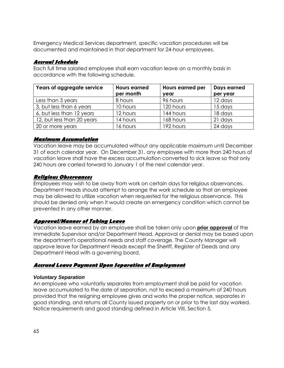Emergency Medical Services department, specific vacation procedures will be documented and maintained in that department for 24-hour employees.

### **Accrual Schedule**

Each full time salaried employee shall earn vacation leave on a monthly basis in accordance with the following schedule.

| Years of aggregate service | <b>Hours earned</b> | Hours earned per | Days earned |
|----------------------------|---------------------|------------------|-------------|
|                            | per month           | year             | per year    |
| Less than 3 years          | 8 hours             | 96 hours         | 12 days     |
| 3, but less than 6 years   | 10 hours            | 120 hours        | 15 days     |
| 6, but less than 12 years  | 12 hours            | 144 hours        | 18 days     |
| 12, but less than 20 years | 4 hours             | 168 hours        | 21 days     |
| 20 or more years           | 6 hours             | 192 hours        | 24 days     |

### **Maximum Accumulation**

Vacation leave may be accumulated without any applicable maximum until December 31 of each calendar year. On December 31, any employee with more than 240 hours of vacation leave shall have the excess accumulation converted to sick leave so that only 240 hours are carried forward to January 1 of the next calendar year.

#### **Religious Observances**

Employees may wish to be away from work on certain days for religious observances. Department Heads should attempt to arrange the work schedule so that an employee may be allowed to utilize vacation when requested for the religious observance. This should be denied only when it would create an emergency condition which cannot be prevented in any other manner.

### **Approval/Manner of Taking Leave**

Vacation leave earned by an employee shall be taken only upon **prior approval** of the immediate Supervisor and/or Department Head. Approval or denial may be based upon the department's operational needs and staff coverage. The County Manager will approve leave for Department Heads except the Sheriff, Register of Deeds and any Department Head with a governing board.

### **Accrued Leave Payment Upon Separation of Employment**

### **Voluntary Separation**

An employee who voluntarily separates from employment shall be paid for vacation leave accumulated to the date of separation, not to exceed a maximum of 240 hours provided that the resigning employee gives and works the proper notice, separates in good standing, and returns all County issued property on or prior to the last day worked. Notice requirements and good standing defined in Article VIII, Section 5.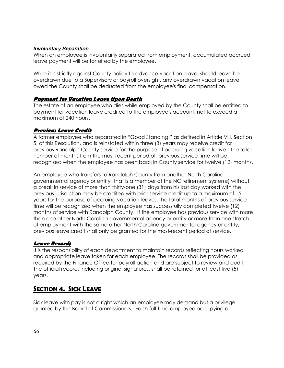#### **Involuntary Separation**

When an employee is involuntarily separated from employment, accumulated accrued leave payment will be forfeited by the employee.

While it is strictly against County policy to advance vacation leave, should leave be overdrawn due to a Supervisory or payroll oversight, any overdrawn vacation leave owed the County shall be deducted from the employee's final compensation.

### **Payment for Vacation Leave Upon Death**

The estate of an employee who dies while employed by the County shall be entitled to payment for vacation leave credited to the employee's account, not to exceed a maximum of 240 hours.

### **Previous Leave Credit**

A former employee who separated in "Good Standing," as defined in Article VIII, Section 5, of this Resolution, and is reinstated within three (3) years may receive credit for previous Randolph County service for the purpose of accruing vacation leave. The total number of months from the most recent period of previous service time will be recognized when the employee has been back in County service for twelve (12) months.

An employee who transfers to Randolph County from another North Carolina governmental agency or entity (that is a member of the NC retirement systems) without a break in service of more than thirty-one (31) days from his last day worked with the previous jurisdiction may be credited with prior service credit up to a maximum of 15 years for the purpose of accruing vacation leave. The total months of previous service time will be recognized when the employee has successfully completed twelve (12) months of service with Randolph County. If the employee has previous service with more than one other North Carolina governmental agency or entity or more than one stretch of employment with the same other North Carolina governmental agency or entity, previous leave credit shall only be granted for the most-recent period of service.

# **Leave Records**

It is the responsibility of each department to maintain records reflecting hours worked and appropriate leave taken for each employee. The records shall be provided as required by the Finance Office for payroll action and are subject to review and audit. The official record, including original signatures, shall be retained for at least five (5) years.

# *SECTION 4. SICK LEAVE*

Sick leave with pay is not a right which an employee may demand but a privilege granted by the Board of Commissioners. Each full-time employee occupying a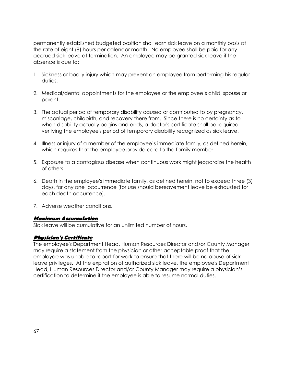permanently established budgeted position shall earn sick leave on a monthly basis at the rate of eight (8) hours per calendar month. No employee shall be paid for any accrued sick leave at termination. An employee may be granted sick leave if the absence is due to:

- 1. Sickness or bodily injury which may prevent an employee from performing his regular duties.
- 2. Medical/dental appointments for the employee or the employee's child, spouse or parent.
- 3. The actual period of temporary disability caused or contributed to by pregnancy, miscarriage, childbirth, and recovery there from. Since there is no certainty as to when disability actually begins and ends, a doctor's certificate shall be required verifying the employee's period of temporary disability recognized as sick leave.
- 4. Illness or injury of a member of the employee's immediate family, as defined herein, which requires that the employee provide care to the family member.
- 5. Exposure to a contagious disease when continuous work might jeopardize the health of others.
- 6. Death in the employee's immediate family, as defined herein, not to exceed three (3) days, for any one occurrence (for use should bereavement leave be exhausted for each death occurrence).
- 7. Adverse weather conditions.

#### **Maximum Accumulation**

Sick leave will be cumulative for an unlimited number of hours.

### **Physician's Certificate**

The employee's Department Head, Human Resources Director and/or County Manager may require a statement from the physician or other acceptable proof that the employee was unable to report for work to ensure that there will be no abuse of sick leave privileges. At the expiration of authorized sick leave, the employee's Department Head, Human Resources Director and/or County Manager may require a physician's certification to determine if the employee is able to resume normal duties.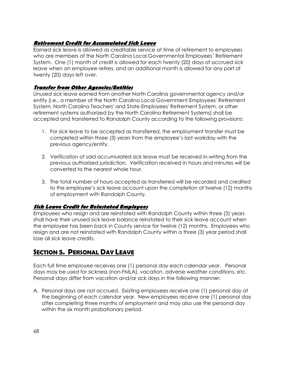# **Retirement Credit for Accumulated Sick Leave**

Earned sick leave is allowed as creditable service at time of retirement to employees who are members of the North Carolina Local Governmental Employees' Retirement System. One (1) month of credit is allowed for each twenty (20) days of accrued sick leave when an employee retires, and an additional month is allowed for any part of twenty (20) days left over.

### **Transfer from Other Agencies/Entities**

Unused sick leave earned from another North Carolina governmental agency and/or entity (i.e., a member of the North Carolina Local Government Employees' Retirement System, North Carolina Teachers' and State Employees' Retirement System, or other retirement systems authorized by the North Carolina Retirement Systems) shall be accepted and transferred to Randolph County according to the following provisions:

- 1. For sick leave to be accepted as transferred, the employment transfer must be completed within three (3) years from the employee's last workday with the previous agency/entity.
- 2. Verification of said accumulated sick leave must be received in writing from the previous authorized jurisdiction. Verification received in hours and minutes will be converted to the nearest whole hour.
- 3. The total number of hours accepted as transferred will be recorded and credited to the employee's sick leave account upon the completion of twelve (12) months of employment with Randolph County.

# **Sick Leave Credit for Reinstated Employees**

Employees who resign and are reinstated with Randolph County within three (3) years shall have their unused sick leave balance reinstated to their sick leave account when the employee has been back in County service for twelve (12) months. Employees who resign and are not reinstated with Randolph County within a three (3) year period shall lose all sick leave credits.

# *SECTION 5. PERSONAL DAY LEAVE*

Each full time employee receives one (1) personal day each calendar year. Personal days may be used for sickness (non-FMLA), vacation, adverse weather conditions, etc. Personal days differ from vacation and/or sick days in the following manner:

A. Personal days are not accrued. Existing employees receive one (1) personal day at the beginning of each calendar year. New employees receive one (1) personal day after completing three months of employment and may also use the personal day within the six month probationary period.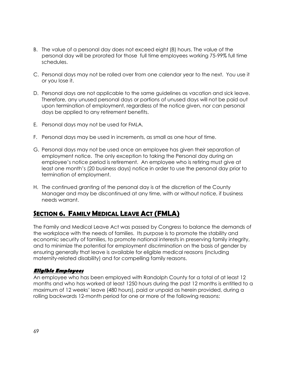- B. The value of a personal day does not exceed eight (8) hours. The value of the personal day will be prorated for those full time employees working 75-99% full time schedules.
- C. Personal days may not be rolled over from one calendar year to the next. You use it or you lose it.
- D. Personal days are not applicable to the same guidelines as vacation and sick leave. Therefore, any unused personal days or portions of unused days will not be paid out upon termination of employment, regardless of the notice given, nor can personal days be applied to any retirement benefits.
- E. Personal days may not be used for FMLA.
- F. Personal days may be used in increments, as small as one hour of time.
- G. Personal days may not be used once an employee has given their separation of employment notice. The only exception to taking the Personal day during an employee's notice period is retirement. An employee who is retiring must give at least one month's (20 business days) notice in order to use the personal day prior to termination of employment.
- H. The continued granting of the personal day is at the discretion of the County Manager and may be discontinued at any time, with or without notice, if business needs warrant.

# *SECTION 6. FAMILY MEDICAL LEAVE ACT (FMLA)*

The Family and Medical Leave Act was passed by Congress to balance the demands of the workplace with the needs of families. Its purpose is to promote the stability and economic security of families, to promote national interests in preserving family integrity, and to minimize the potential for employment discrimination on the basis of gender by ensuring generally that leave is available for eligible medical reasons (including maternity-related disability) and for compelling family reasons.

### **Eligible Employees**

An employee who has been employed with Randolph County for a total of at least 12 months and who has worked at least 1250 hours during the past 12 months is entitled to a maximum of 12 weeks' leave (480 hours), paid or unpaid as herein provided, during a rolling backwards 12-month period for one or more of the following reasons: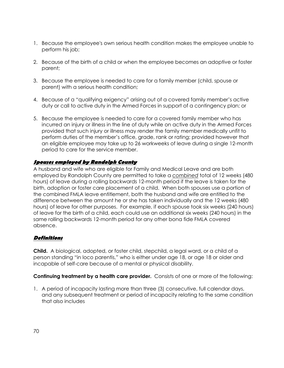- 1. Because the employee's own serious health condition makes the employee unable to perform his job;
- 2. Because of the birth of a child or when the employee becomes an adoptive or foster parent;
- 3. Because the employee is needed to care for a family member (child, spouse or parent) with a serious health condition;
- 4. Because of a "qualifying exigency" arising out of a covered family member's active duty or call to active duty in the Armed Forces in support of a contingency plan; or
- 5. Because the employee is needed to care for a covered family member who has incurred an injury or illness in the line of duty while on active duty in the Armed Forces provided that such injury or illness may render the family member medically unfit to perform duties of the member's office, grade, rank or rating; provided however that an eligible employee may take up to 26 workweeks of leave during a single 12-month period to care for the service member.

# **Spouses employed by Randolph County**

A husband and wife who are eligible for Family and Medical Leave and are both employed by Randolph County are permitted to take a *combined* total of 12 weeks (480 hours) of leave during a rolling backwards 12-month period if the leave is taken for the birth, adoption or foster care placement of a child. When both spouses use a portion of the combined FMLA leave entitlement, both the husband and wife are entitled to the difference between the amount he or she has taken individually and the 12 weeks (480 hours) of leave for other purposes. For example, if each spouse took six weeks (240 hours) of leave for the birth of a child, each could use an additional six weeks (240 hours) in the same rolling backwards 12-month period for any other bona fide FMLA covered absence.

# **Definitions**

**Child.** A biological, adopted, or foster child, stepchild, a legal ward, or a child of a person standing "in loco parentis," who is either under age 18, or age 18 or older and incapable of self-care because of a mental or physical disability.

**Continuing treatment by a health care provider.** Consists of one or more of the following:

1. A period of incapacity lasting more than three (3) consecutive, full calendar days, and any subsequent treatment or period of incapacity relating to the same condition that also includes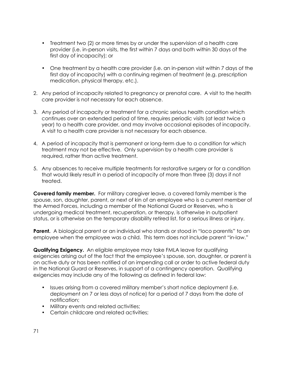- Treatment two (2) or more times by or under the supervision of a health care provider (i.e. in-person visits, the first within 7 days and both within 30 days of the first day of incapacity); or
- One treatment by a health care provider (i.e. an in-person visit within 7 days of the first day of incapacity) with a continuing regimen of treatment (e.g. prescription medication, physical therapy, etc.).
- 2. Any period of incapacity related to pregnancy or prenatal care. A visit to the health care provider is not necessary for each absence.
- 3. Any period of incapacity or treatment for a chronic serious health condition which continues over an extended period of time, requires periodic visits (at least twice a year) to a health care provider, and may involve occasional episodes of incapacity. A visit to a health care provider is not necessary for each absence.
- 4. A period of incapacity that is permanent or long-term due to a condition for which treatment may not be effective. Only supervision by a health care provider is required, rather than active treatment.
- 5. Any absences to receive multiple treatments for restorative surgery or for a condition that would likely result in a period of incapacity of more than three (3) days if not treated.

**Covered family member.** For military caregiver leave, a covered family member is the spouse, son, daughter, parent, or next of kin of an employee who is a current member of the Armed Forces, including a member of the National Guard or Reserves, who is undergoing medical treatment, recuperation, or therapy, is otherwise in outpatient status, or is otherwise on the temporary disability retired list, for a serious illness or injury.

**Parent.** A biological parent or an individual who stands or stood in "loco parentis" to an employee when the employee was a child. This term does not include parent "in-law."

**Qualifying Exigency.** An eligible employee may take FMLA leave for qualifying exigencies arising out of the fact that the employee's spouse, son, daughter, or parent is on active duty or has been notified of an impending call or order to active federal duty in the National Guard or Reserves, in support of a contingency operation. Qualifying exigencies may include any of the following as defined in federal law:

- Issues arising from a covered military member's short notice deployment (i.e. deployment on 7 or less days of notice) for a period of 7 days from the date of notification;
- Military events and related activities;
- Certain childcare and related activities;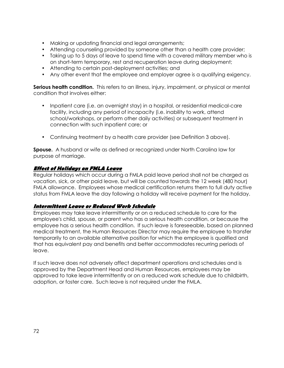- Making or updating financial and legal arrangements;
- Attending counseling provided by someone other than a health care provider;
- Taking up to 5 days of leave to spend time with a covered military member who is on short-term temporary, rest and recuperation leave during deployment;
- Attending to certain post-deployment activities; and
- Any other event that the employee and employer agree is a qualifying exigency.

**Serious health condition.** This refers to an illness, injury, impairment, or physical or mental condition that involves either:

- Inpatient care (i.e. an overnight stay) in a hospital, or residential medical-care facility, including any period of incapacity (i.e. inability to work, attend school/workshops, or perform other daily activities) or subsequent treatment in connection with such inpatient care; or
- Continuing treatment by a health care provider (see Definition 3 above).

**Spouse.** A husband or wife as defined or recognized under North Carolina law for purpose of marriage.

### **Effect of Holidays on FMLA Leave**

Regular holidays which occur during a FMLA paid leave period shall not be charged as vacation, sick, or other paid leave, but will be counted towards the 12 week (480 hour) FMLA allowance. Employees whose medical certification returns them to full duty active status from FMLA leave the day following a holiday will receive payment for the holiday.

### **Intermittent Leave or Reduced Work Schedule**

Employees may take leave intermittently or on a reduced schedule to care for the employee's child, spouse, or parent who has a serious health condition, or because the employee has a serious health condition. If such leave is foreseeable, based on planned medical treatment, the Human Resources Director may require the employee to transfer temporarily to an available alternative position for which the employee is qualified and that has equivalent pay and benefits and better accommodates recurring periods of leave.

If such leave does not adversely affect department operations and schedules and is approved by the Department Head and Human Resources, employees may be approved to take leave intermittently or on a reduced work schedule due to childbirth, adoption, or foster care. Such leave is not required under the FMLA.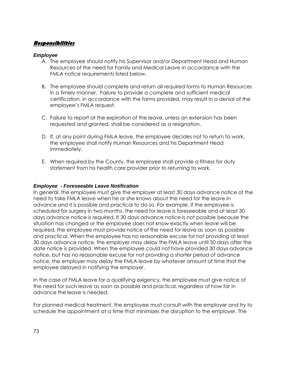### **Responsibilities**

#### **Employee**

- A. The employee should notify his Supervisor and/or Department Head and Human Resources of the need for Family and Medical Leave in accordance with the FMLA notice requirements listed below.
- B. The employee should complete and return all required forms to Human Resources in a timely manner. Failure to provide a complete and sufficient medical certification, in accordance with the forms provided, may result in a denial of the employee's FMLA request.
- C. Failure to report at the expiration of the leave, unless an extension has been requested and granted, shall be considered as a resignation.
- D. If, at any point during FMLA leave, the employee decides not to return to work, the employee shall notify Human Resources and his Department Head immediately.
- E. When required by the County, the employee shall provide a fitness for duty statement from his health care provider prior to returning to work.

#### **Employee - Foreseeable Leave Notification**

In general, the employee must give the employer at least 30 days advance notice of the need to take FMLA leave when he or she knows about the need for the leave in advance and it is possible and practical to do so. For example, if the employee is scheduled for surgery in two months, the need for leave is foreseeable and at least 30 days advance notice is required. If 30 days advance notice is not possible because the situation has changed or the employee does not know exactly when leave will be required, the employee must provide notice of the need for leave as soon as possible and practical. When the employee has no reasonable excuse for not providing at least 30 days advance notice, the employer may delay the FMLA leave until 30 days after the date notice is provided. When the employee could not have provided 30 days advance notice, but has no reasonable excuse for not providing a shorter period of advance notice, the employer may delay the FMLA leave by whatever amount of time that the employee delayed in notifying the employer.

In the case of FMLA leave for a qualifying exigency, the employee must give notice of the need for such leave as soon as possible and practical, regardless of how far in advance the leave is needed.

For planned medical treatment, the employee must consult with the employer and try to schedule the appointment at a time that minimizes the disruption to the employer. The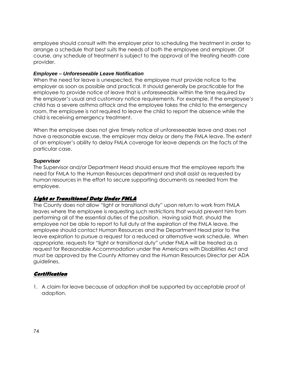employee should consult with the employer prior to scheduling the treatment in order to arrange a schedule that best suits the needs of both the employee and employer. Of course, any schedule of treatment is subject to the approval of the treating health care provider.

### **Employee – Unforeseeable Leave Notification**

When the need for leave is unexpected, the employee must provide notice to the employer as soon as possible and practical. It should generally be practicable for the employee to provide notice of leave that is unforeseeable within the time required by the employer's usual and customary notice requirements. For example, if the employee's child has a severe asthma attack and the employee takes the child to the emergency room, the employee is not required to leave the child to report the absence while the child is receiving emergency treatment.

When the employee does not give timely notice of unforeseeable leave and does not have a reasonable excuse, the employer may delay or deny the FMLA leave. The extent of an employer's ability to delay FMLA coverage for leave depends on the facts of the particular case.

### **Supervisor**

The Supervisor and/or Department Head should ensure that the employee reports the need for FMLA to the Human Resources department and shall assist as requested by human resources in the effort to secure supporting documents as needed from the employee.

### **Light or Transitional Duty Under FMLA**

The County does not allow "light or transitional duty" upon return to work from FMLA leaves where the employee is requesting such restrictions that would prevent him from performing all of the essential duties of the position. Having said that, should the employee not be able to report to full duty at the expiration of the FMLA leave, the employee should contact Human Resources and the Department Head prior to the leave expiration to pursue a request for a reduced or alternative work schedule. When appropriate, requests for "light or transitional duty" under FMLA will be treated as a request for Reasonable Accommodation under the Americans with Disabilities Act and must be approved by the County Attorney and the Human Resources Director per ADA guidelines.

### **Certification**

1. A claim for leave because of adoption shall be supported by acceptable proof of adoption.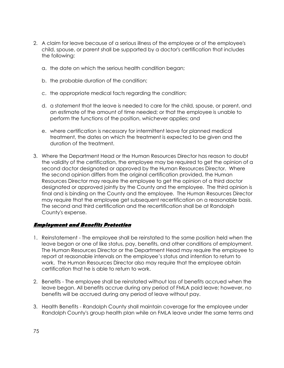- 2. A claim for leave because of a serious illness of the employee or of the employee's child, spouse, or parent shall be supported by a doctor's certification that includes the following:
	- a. the date on which the serious health condition began;
	- b. the probable duration of the condition;
	- c. the appropriate medical facts regarding the condition;
	- d. a statement that the leave is needed to care for the child, spouse, or parent, and an estimate of the amount of time needed; or that the employee is unable to perform the functions of the position, whichever applies; and
	- e. where certification is necessary for intermittent leave for planned medical treatment, the dates on which the treatment is expected to be given and the duration of the treatment.
- 3. Where the Department Head or the Human Resources Director has reason to doubt the validity of the certification, the employee may be required to get the opinion of a second doctor designated or approved by the Human Resources Director. Where the second opinion differs from the original certification provided, the Human Resources Director may require the employee to get the opinion of a third doctor designated or approved jointly by the County and the employee. The third opinion is final and is binding on the County and the employee. The Human Resources Director may require that the employee get subsequent recertification on a reasonable basis. The second and third certification and the recertification shall be at Randolph County's expense.

### **Employment and Benefits Protection**

- 1. Reinstatement The employee shall be reinstated to the same position held when the leave began or one of like status, pay, benefits, and other conditions of employment. The Human Resources Director or the Department Head may require the employee to report at reasonable intervals on the employee's status and intention to return to work. The Human Resources Director also may require that the employee obtain certification that he is able to return to work.
- 2. Benefits The employee shall be reinstated without loss of benefits accrued when the leave began. All benefits accrue during any period of FMLA paid leave; however, no benefits will be accrued during any period of leave without pay.
- 3. Health Benefits Randolph County shall maintain coverage for the employee under Randolph County's group health plan while on FMLA leave under the same terms and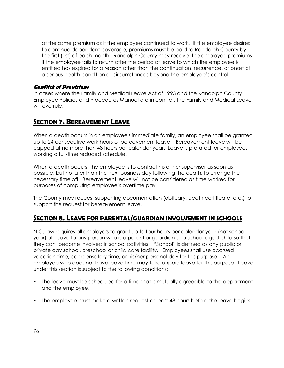at the same premium as if the employee continued to work. If the employee desires to continue dependent coverage, premiums must be paid to Randolph County by the first (1st) of each month. Randolph County may recover the employee premiums if the employee fails to return after the period of leave to which the employee is entitled has expired for a reason other than the continuation, recurrence, or onset of a serious health condition or circumstances beyond the employee's control.

### **Conflict of Provisions**

In cases where the Family and Medical Leave Act of 1993 and the Randolph County Employee Policies and Procedures Manual are in conflict, the Family and Medical Leave will overrule.

### *SECTION 7. BEREAVEMENT LEAVE*

When a death occurs in an employee's immediate family, an employee shall be granted up to 24 consecutive work hours of bereavement leave. Bereavement leave will be capped at no more than 48 hours per calendar year. Leave is prorated for employees working a full-time reduced schedule.

When a death occurs, the employee is to contact his or her supervisor as soon as possible, but no later than the next business day following the death, to arrange the necessary time off. Bereavement leave will not be considered as time worked for purposes of computing employee's overtime pay.

The County may request supporting documentation (obituary, death certificate, etc.) to support the request for bereavement leave.

### *SECTION 8. LEAVE FOR PARENTAL/GUARDIAN INVOLVEMENT IN SCHOOLS*

N.C. law requires all employers to grant up to four hours per calendar year (not school year) of leave to any person who is a parent or guardian of a school-aged child so that they can become involved in school activities. "School" is defined as any public or private day school, preschool or child care facility. Employees shall use accrued vacation time, compensatory time, or his/her personal day for this purpose. An employee who does not have leave time may take unpaid leave for this purpose. Leave under this section is subject to the following conditions:

- The leave must be scheduled for a time that is mutually agreeable to the department and the employee.
- The employee must make a written request at least 48 hours before the leave begins.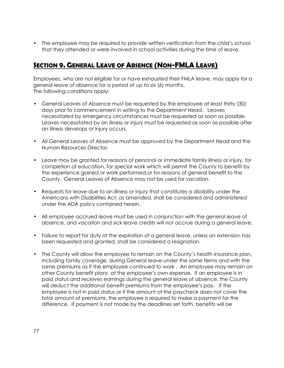• The employee may be required to provide written verification from the child's school that they attended or were involved in school activities during the time of leave.

## *SECTION 9. GENERAL LEAVE OF ABSENCE (NON-FMLA LEAVE)*

Employees, who are not eligible for or have exhausted their FMLA leave, may apply for a general leave of absence for a period of up to six (6) months. The following conditions apply:

- General Leaves of Absence must be requested by the employee at least thirty (30) days prior to commencement in writing to the Department Head. Leaves necessitated by emergency circumstances must be requested as soon as possible. Leaves necessitated by an illness or injury must be requested as soon as possible after an illness develops or injury occurs.
- All General Leaves of Absence must be approved by the Department Head and the Human Resources Director.
- Leave may be granted for reasons of personal or immediate family illness or injury, for completion of education, for special work which will permit the County to benefit by the experience gained or work performed,or for reasons of general benefit to the County. General Leaves of Absence may not be used for vacation.
- Requests for leave due to an illness or injury that constitutes a disability under the Americans with Disabilities Act, as amended, shall be considered and administered under the ADA policy contained herein.
- All employee accrued leave must be used in conjunction with the general leave of absence, and vacation and sick leave credits will not accrue during a general leave.
- Failure to report for duty at the expiration of a general leave, unless an extension has been requested and granted, shall be considered a resignation.
- The County will allow the employee to remain on the County's health insurance plan, including family coverage, during General leave under the same terms and with the same premiums as if the employee continued to work . An employee may remain on other County benefit plans at the employee's own expense. If an employee is in paid status and receives earnings during the general leave of absence, the County will deduct the additional benefit premiums from the employee's pay. If the employee is not in paid status or if the amount of the paycheck does not cover the total amount of premiums, the employee is required to make a payment for the difference. If payment is not made by the deadlines set forth, benefits will be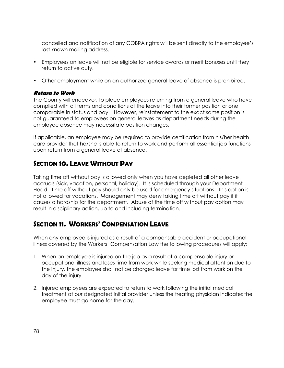cancelled and notification of any COBRA rights will be sent directly to the employee's last known mailing address.

- Employees on leave will not be eligible for service awards or merit bonuses until they return to active duty.
- Other employment while on an authorized general leave of absence is prohibited.

### **Return to Work**

The County will endeavor, to place employees returning from a general leave who have complied with all terms and conditions of the leave into their former position or one comparable in status and pay. However, reinstatement to the exact same position is not guaranteed to employees on general leaves as department needs during the employee absence may necessitate position changes.

If applicable, an employee may be required to provide certification from his/her health care provider that he/she is able to return to work and perform all essential job functions upon return from a general leave of absence.

## *SECTION 10. LEAVE WITHOUT PAY*

Taking time off without pay is allowed only when you have depleted all other leave accruals (sick, vacation, personal, holiday). It is scheduled through your Department Head. Time off without pay should only be used for emergency situations. This option is not allowed for vacations. Management may deny taking time off without pay if it causes a hardship for the department. Abuse of the time off without pay option may result in disciplinary action, up to and including termination.

## *SECTION 11. WORKERS' COMPENSATION LEAVE*

When any employee is injured as a result of a compensable accident or occupational illness covered by the Workers' Compensation Law the following procedures will apply:

- 1. When an employee is injured on the job as a result of a compensable injury or occupational illness and loses time from work while seeking medical attention due to the injury, the employee shall not be charged leave for time lost from work on the day of the injury.
- 2. Injured employees are expected to return to work following the initial medical treatment at our designated initial provider unless the treating physician indicates the employee must go home for the day.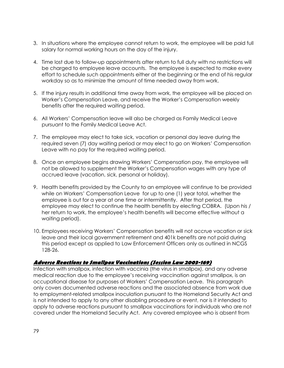- 3. In situations where the employee cannot return to work, the employee will be paid full salary for normal working hours on the day of the injury.
- 4. Time lost due to follow-up appointments after return to full duty with no restrictions will be charged to employee leave accounts. The employee is expected to make every effort to schedule such appointments either at the beginning or the end of his regular workday so as to minimize the amount of time needed away from work.
- 5. If the injury results in additional time away from work, the employee will be placed on Worker's Compensation Leave, and receive the Worker's Compensation weekly benefits after the required waiting period.
- 6. All Workers' Compensation leave will also be charged as Family Medical Leave pursuant to the Family Medical Leave Act.
- 7. The employee may elect to take sick, vacation or personal day leave during the required seven (7) day waiting period or may elect to go on Workers' Compensation Leave with no pay for the required waiting period.
- 8. Once an employee begins drawing Workers' Compensation pay, the employee will not be allowed to supplement the Worker's Compensation wages with any type of accrued leave (vacation, sick, personal or holiday).
- 9. Health benefits provided by the County to an employee will continue to be provided while on Workers' Compensation Leave for up to one (1) year total, whether the employee is out for a year at one time or intermittently. After that period, the employee may elect to continue the health benefits by electing COBRA. (Upon his / her return to work, the employee's health benefits will become effective without a waiting period).
- 10. Employees receiving Workers' Compensation benefits will not accrue vacation or sick leave and their local government retirement and 401k benefits are not paid during this period except as applied to Law Enforcement Officers only as outlined in NCGS 128-26.

### **Adverse Reactions to Smallpox Vaccinations (Session Law 2003-169)**

Infection with smallpox, infection with vaccinia (the virus in smallpox), and any adverse medical reaction due to the employee's receiving vaccination against smallpox, is an occupational disease for purposes of Workers' Compensation Leave. This paragraph only covers documented adverse reactions and the associated absence from work due to employment-related smallpox inoculation pursuant to the Homeland Security Act and is not intended to apply to any other disabling procedure or event, nor is it intended to apply to adverse reactions pursuant to smallpox vaccinations for individuals who are not covered under the Homeland Security Act. Any covered employee who is absent from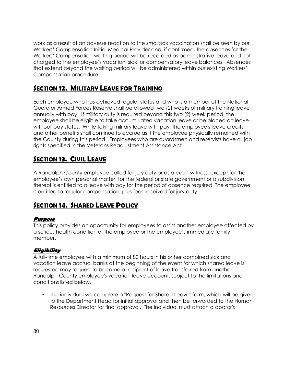work as a result of an adverse reaction to the smallpox vaccination shall be seen by our Workers' Compensation Initial Medical Provider and, if confirmed, the absences for the Workers' Compensation waiting period will be recorded as administrative leave and not charged to the employee's vacation, sick, or compensatory leave balances. Absences that extend beyond the waiting period will be administered within our existing Workers' Compensation procedure.

### *SECTION 12. MILITARY LEAVE FOR TRAINING*

Each employee who has achieved regular status and who is a member of the National Guard or Armed Forces Reserve shall be allowed two (2) weeks of military training leave annually with pay. If military duty is required beyond this two (2) week period, the employee shall be eligible to take accumulated vacation leave or be placed on leavewithout-pay status. While taking military leave with pay, the employee's leave credits and other benefits shall continue to accrue as if the employee physically remained with the County during this period. Employees who are guardsmen and reservists have all job rights specified in the Veterans Readjustment Assistance Act.

## *SECTION 13. CIVIL LEAVE*

A Randolph County employee called for jury duty or as a court witness, except for the employee's own personal matter, for the federal or state government or a subdivision thereof is entitled to a leave with pay for the period of absence required. The employee is entitled to regular compensation, plus fees received for jury duty.

### *SECTION 14. SHARED LEAVE POLICY*

### **Purpose**

This policy provides an opportunity for employees to assist another employee affected by a serious health condition of the employee or the employee's immediate family member.

### **Eligibility**

A full-time employee with a minimum of 80 hours in his or her combined sick and vacation leave accrual banks at the beginning of the event for which shared leave is requested may request to become a recipient of leave transferred from another Randolph County employee's vacation leave account, subject to the limitations and conditions listed below.

• The individual will complete a "Request for Shared Leave" form, which will be given to the Department Head for initial approval and then be forwarded to the Human Resources Director for final approval. The individual must attach a doctor's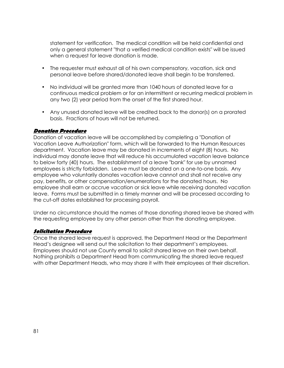statement for verification. The medical condition will be held confidential and only a general statement "that a verified medical condition exists" will be issued when a request for leave donation is made.

- The requester must exhaust all of his own compensatory, vacation, sick and personal leave before shared/donated leave shall begin to be transferred.
- No individual will be granted more than 1040 hours of donated leave for a continuous medical problem or for an intermittent or recurring medical problem in any two (2) year period from the onset of the first shared hour.
- Any unused donated leave will be credited back to the donor(s) on a prorated basis. Fractions of hours will not be returned.

#### **Donation Procedure**

Donation of vacation leave will be accomplished by completing a "Donation of Vacation Leave Authorization" form, which will be forwarded to the Human Resources department. Vacation leave may be donated in increments of eight (8) hours. No individual may donate leave that will reduce his accumulated vacation leave balance to below forty (40) hours. The establishment of a leave "bank" for use by unnamed employees is strictly forbidden. Leave must be donated on a one-to-one basis. Any employee who voluntarily donates vacation leave cannot and shall not receive any pay, benefits, or other compensation/enumerations for the donated hours. No employee shall earn or accrue vacation or sick leave while receiving donated vacation leave. Forms must be submitted in a timely manner and will be processed according to the cut-off dates established for processing payroll.

Under no circumstance should the names of those donating shared leave be shared with the requesting employee by any other person other than the donating employee.

### **Solicitation Procedure**

Once the shared leave request is approved, the Department Head or the Department Head's designee will send out the solicitation to their department's employees. Employees should not use County email to solicit shared leave on their own behalf. Nothing prohibits a Department Head from communicating the shared leave request with other Department Heads, who may share it with their employees at their discretion.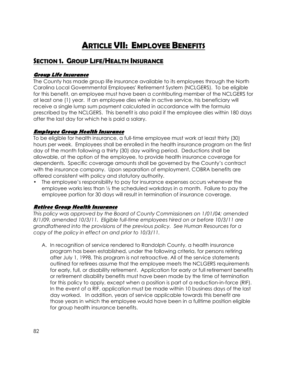# *ARTICLE VII: EMPLOYEE BENEFITS*

## *SECTION 1. GROUP LIFE/HEALTH INSURANCE*

### **Group Life Insurance**

The County has made group life insurance available to its employees through the North Carolina Local Governmental Employees' Retirement System (NCLGERS). To be eligible for this benefit, an employee must have been a contributing member of the NCLGERS for at least one (1) year. If an employee dies while in active service, his beneficiary will receive a single lump sum payment calculated in accordance with the formula prescribed by the NCLGERS. This benefit is also paid if the employee dies within 180 days after the last day for which he is paid a salary.

### **Employee Group Health Insurance**

To be eligible for health insurance, a full-time employee must work at least thirty (30) hours per week. Employees shall be enrolled in the health insurance program on the first day of the month following a thirty (30) day waiting period. Deductions shall be allowable, at the option of the employee, to provide health insurance coverage for dependents. Specific coverage amounts shall be governed by the County's contract with the insurance company. Upon separation of employment, COBRA benefits are offered consistent with policy and statutory authority.

• The employee's responsibility to pay for insurance expenses occurs whenever the employee works less than ½ the scheduled workdays in a month. Failure to pay the employee portion for 30 days will result in termination of insurance coverage.

### **Retiree Group Health Insurance**

*This policy was approved by the Board of County Commissioners on 1/01/04; amended 8/1/09, amended 10/3/11. Eligible full-time employees hired on or before 10/3/11 are grandfathered into the provisions of the previous policy. See Human Resources for a copy of the policy in effect on and prior to 10/3/11.* 

A. In recognition of service rendered to Randolph County, a health insurance program has been established, under the following criteria, for persons retiring after July 1, 1998. This program is not retroactive. All of the service statements outlined for retirees assume that the employee meets the NCLGERS requirements for early, full, or disability retirement. Application for early or full retirement benefits or retirement disability benefits must have been made by the time of termination for this policy to apply, except when a position is part of a reduction-in-force (RIF). In the event of a RIF, application must be made within 10 business days of the last day worked. In addition, years of service applicable towards this benefit are those years in which the employee would have been in a fulltime position eligible for group health insurance benefits.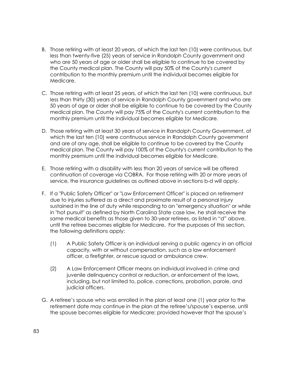- B. Those retiring with at least 20 years, of which the last ten (10) were continuous, but less than twenty-five (25) years of service in Randolph County government and who are 50 years of age or older shall be eligible to continue to be covered by the County medical plan. The County will pay 50% of the County's current contribution to the monthly premium until the individual becomes eligible for Medicare.
- C. Those retiring with at least 25 years, of which the last ten (10) were continuous, but less than thirty (30) years of service in Randolph County government and who are 50 years of age or older shall be eligible to continue to be covered by the County medical plan. The County will pay 75% of the County's current contribution to the monthly premium until the individual becomes eligible for Medicare.
- D. Those retiring with at least 30 years of service in Randolph County Government, of which the last ten (10) were continuous service in Randolph County government and are of any age, shall be eligible to continue to be covered by the County medical plan. The County will pay 100% of the County's current contribution to the monthly premium until the individual becomes eligible for Medicare.
- E. Those retiring with a disability with less than 20 years of service will be offered continuation of coverage via COBRA. For those retiring with 20 or more years of service, the insurance guidelines as outlined above in sections b-d will apply.
- F. If a "Public Safety Officer" or "Law Enforcement Officer" is placed on retirement due to injuries suffered as a direct and proximate result of a personal injury sustained in the line of duty while responding to an "emergency situation" or while in "hot pursuit" as defined by North Carolina State case law, he shall receive the same medical benefits as those given to 30-year retirees, as listed in "d" above, until the retiree becomes eligible for Medicare. For the purposes of this section, the following definitions apply:
	- (1) A Public Safety Officer is an individual serving a public agency in an official capacity, with or without compensation, such as a law enforcement officer, a firefighter, or rescue squad or ambulance crew.
	- (2) A Law Enforcement Officer means an individual involved in crime and juvenile delinquency control or reduction, or enforcement of the laws, including, but not limited to, police, corrections, probation, parole, and judicial officers.
- G. A retiree's spouse who was enrolled in the plan at least one (1) year prior to the retirement date may continue in the plan at the retiree's/spouse's expense, until the spouse becomes eligible for Medicare; provided however that the spouse's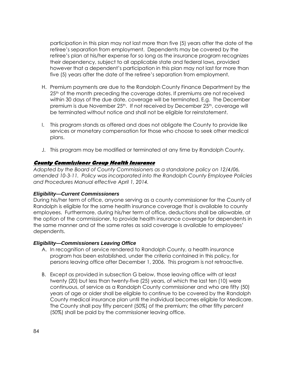participation in this plan may not last more than five (5) years after the date of the retiree's separation from employment. Dependents may be covered by the retiree's plan at his/her expense for so long as the insurance program recognizes their dependency, subject to all applicable state and federal laws, provided however that a dependent's participation in this plan may not last for more than five (5) years after the date of the retiree's separation from employment.

- H. Premium payments are due to the Randolph County Finance Department by the 25<sup>th</sup> of the month preceding the coverage dates. If premiums are not received within 30 days of the due date, coverage will be terminated. E.g. The December premium is due November 25<sup>th</sup>. If not received by December 25<sup>th</sup>, coverage will be terminated without notice and shall not be eligible for reinstatement.
- I. This program stands as offered and does not obligate the County to provide like services or monetary compensation for those who choose to seek other medical plans.
- J. This program may be modified or terminated at any time by Randolph County.

#### **County Commissioner Group Health Insurance**

*Adopted by the Board of County Commissioners as a standalone policy on 12/4/06, amended 10-3-11. Policy was incorporated into the Randolph County Employee Policies and Procedures Manual effective April 1, 2014.* 

#### **Eligibility—Current Commissioners**

During his/her term of office, anyone serving as a county commissioner for the County of Randolph is eligible for the same health insurance coverage that is available to county employees. Furthermore, during his/her term of office, deductions shall be allowable, at the option of the commissioner, to provide health insurance coverage for dependents in the same manner and at the same rates as said coverage is available to employees' dependents.

#### **Eligibility—Commissioners Leaving Office**

- A. In recognition of service rendered to Randolph County, a health insurance program has been established, under the criteria contained in this policy, for persons leaving office after December 1, 2006. This program is not retroactive.
- B. Except as provided in subsection G below, those leaving office with at least twenty (20) but less than twenty-five (25) years, of which the last ten (10) were continuous, of service as a Randolph County commissioner and who are fifty (50) years of age or older shall be eligible to continue to be covered by the Randolph County medical insurance plan until the individual becomes eligible for Medicare. The County shall pay fifty percent (50%) of the premium; the other fifty percent (50%) shall be paid by the commissioner leaving office.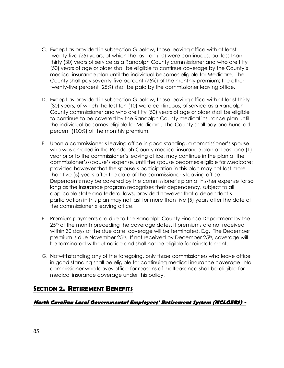- C. Except as provided in subsection G below, those leaving office with at least twenty-five (25) years, of which the last ten (10) were continuous, but less than thirty (30) years of service as a Randolph County commissioner and who are fifty (50) years of age or older shall be eligible to continue coverage by the County's medical insurance plan until the individual becomes eligible for Medicare. The County shall pay seventy-five percent (75%) of the monthly premium; the other twenty-five percent (25%) shall be paid by the commissioner leaving office.
- D. Except as provided in subsection G below, those leaving office with at least thirty (30) years, of which the last ten (10) were continuous, of service as a Randolph County commissioner and who are fifty (50) years of age or older shall be eligible to continue to be covered by the Randolph County medical insurance plan until the individual becomes eligible for Medicare. The County shall pay one hundred percent (100%) of the monthly premium.
- E. Upon a commissioner's leaving office in good standing, a commissioner's spouse who was enrolled in the Randolph County medical insurance plan at least one (1) year prior to the commissioner's leaving office, may continue in the plan at the commissioner's/spouse's expense, until the spouse becomes eligible for Medicare; provided however that the spouse's participation in this plan may not last more than five (5) years after the date of the commissioner's leaving office. Dependents may be covered by the commissioner's plan at his/her expense for so long as the insurance program recognizes their dependency, subject to all applicable state and federal laws, provided however that a dependent's participation in this plan may not last for more than five (5) years after the date of the commissioner's leaving office.
- F. Premium payments are due to the Randolph County Finance Department by the 25<sup>th</sup> of the month preceding the coverage dates. If premiums are not received within 30 days of the due date, coverage will be terminated. E.g. The December premium is due November 25<sup>th</sup>. If not received by December 25<sup>th</sup>, coverage will be terminated without notice and shall not be eligible for reinstatement.
- G. Notwithstanding any of the foregoing, only those commissioners who leave office in good standing shall be eligible for continuing medical insurance coverage. No commissioner who leaves office for reasons of malfeasance shall be eligible for medical insurance coverage under this policy.

### *SECTION 2. RETIREMENT BENEFITS*

### **North Carolina Local Governmental Employees' Retirement System (NCLGERS) -**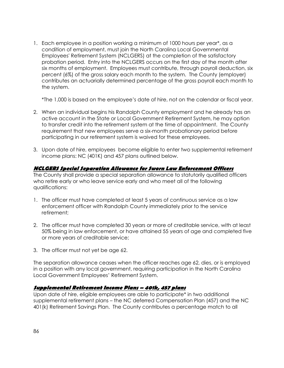1. Each employee in a position working a minimum of 1000 hours per year\*, as a condition of employment, must join the North Carolina Local Governmental Employees' Retirement System (NCLGERS) at the completion of the satisfactory probation period. Entry into the NCLGERS occurs on the first day of the month after six months of employment. Employees must contribute, through payroll deduction, six percent (6%) of the gross salary each month to the system. The County (employer) contributes an actuarially determined percentage of the gross payroll each month to the system.

\*The 1,000 is based on the employee's date of hire, not on the calendar or fiscal year.

- 2. When an individual begins his Randolph County employment and he already has an active account in the State or Local Government Retirement System, he may option to transfer credit into the retirement system at the time of appointment. The County requirement that new employees serve a six-month probationary period before participating in our retirement system is waived for these employees.
- 3. Upon date of hire, employees become eligible to enter two supplemental retirement income plans: NC (401K) and 457 plans outlined below.

### **NCLGERS Special Separation Allowance for Sworn Law Enforcement Officers**

The County shall provide a special separation allowance to statutorily qualified officers who retire early or who leave service early and who meet all of the following qualifications:

- 1. The officer must have completed at least 5 years of continuous service as a law enforcement officer with Randolph County immediately prior to the service retirement;
- 2. The officer must have completed 30 years or more of creditable service, with at least 50% being in law enforcement, or have attained 55 years of age and completed five or more years of creditable service;
- 3. The officer must not yet be age 62.

The separation allowance ceases when the officer reaches age 62, dies, or is employed in a position with any local government, requiring participation in the North Carolina Local Government Employees' Retirement System.

### **Supplemental Retirement Income Plans – 401k, 457 plans**

Upon date of hire, eligible employees are able to participate\* in two additional supplemental retirement plans – the NC deferred Compensation Plan (457) and the NC 401(k) Retirement Savings Plan. The County contributes a percentage match to all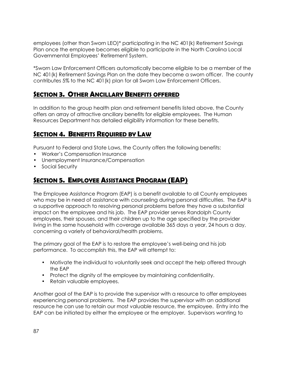employees (other than Sworn LEO)\* participating in the NC 401(k) Retirement Savings Plan once the employee becomes eligible to participate in the North Carolina Local Governmental Employees' Retirement System.

\*Sworn Law Enforcement Officers automatically become eligible to be a member of the NC 401(k) Retirement Savings Plan on the date they become a sworn officer. The county contributes 5% to the NC 401(k) plan for all Sworn Law Enforcement Officers.

### *SECTION 3. OTHER ANCILLARY BENEFITS OFFERED*

In addition to the group health plan and retirement benefits listed above, the County offers an array of attractive ancillary benefits for eligible employees. The Human Resources Department has detailed eligibility information for these benefits.

### *SECTION 4. BENEFITS REQUIRED BY LAW*

Pursuant to Federal and State Laws, the County offers the following benefits:

- Worker's Compensation Insurance
- Unemployment Insurance/Compensation
- Social Security

## *SECTION 5. EMPLOYEE ASSISTANCE PROGRAM (EAP)*

The Employee Assistance Program (EAP) is a benefit available to all County employees who may be in need of assistance with counseling during personal difficulties. The EAP is a supportive approach to resolving personal problems before they have a substantial impact on the employee and his job. The EAP provider serves Randolph County employees, their spouses, and their children up to the age specified by the provider living in the same household with coverage available 365 days a year, 24 hours a day, concerning a variety of behavioral/health problems.

The primary goal of the EAP is to restore the employee's well-being and his job performance. To accomplish this, the EAP will attempt to:

- Motivate the individual to voluntarily seek and accept the help offered through the EAP
- Protect the dignity of the employee by maintaining confidentiality.
- Retain valuable employees.

Another goal of the EAP is to provide the supervisor with a resource to offer employees experiencing personal problems. The EAP provides the supervisor with an additional resource he can use to retain our most valuable resource, the employee. Entry into the EAP can be initiated by either the employee or the employer. Supervisors wanting to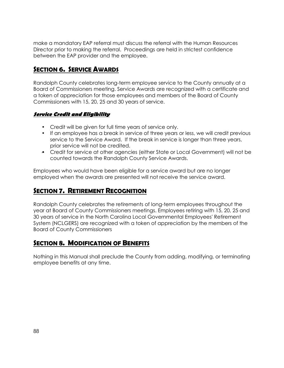make a mandatory EAP referral must discuss the referral with the Human Resources Director prior to making the referral. Proceedings are held in strictest confidence between the EAP provider and the employee.

### *SECTION 6. SERVICE AWARDS*

Randolph County celebrates long-term employee service to the County annually at a Board of Commissioners meeting. Service Awards are recognized with a certificate and a token of appreciation for those employees and members of the Board of County Commissioners with 15, 20, 25 and 30 years of service.

### **Service Credit and Eligibility**

- Credit will be given for full time years of service only.
- If an employee has a break in service of three years or less, we will credit previous service to the Service Award. If the break in service is longer than three years, prior service will not be credited.
- Credit for service at other agencies (either State or Local Government) will not be counted towards the Randolph County Service Awards.

Employees who would have been eligible for a service award but are no longer employed when the awards are presented will not receive the service award.

### *SECTION 7. RETIREMENT RECOGNITION*

Randolph County celebrates the retirements of long-term employees throughout the year at Board of County Commissioners meetings. Employees retiring with 15, 20, 25 and 30 years of service in the North Carolina Local Governmental Employees' Retirement System (NCLGERS) are recognized with a token of appreciation by the members of the Board of County Commissioners

## *SECTION 8. MODIFICATION OF BENEFITS*

Nothing in this Manual shall preclude the County from adding, modifying, or terminating employee benefits at any time.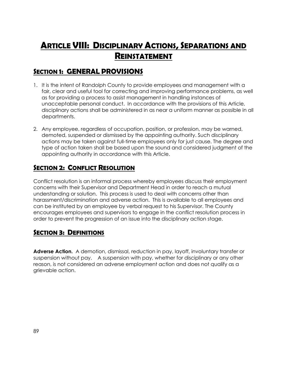# *ARTICLE VIII: DISCIPLINARY ACTIONS, SEPARATIONS AND REINSTATEMENT*

## *SECTION 1: GENERAL PROVISIONS*

- 1. It is the intent of Randolph County to provide employees and management with a fair, clear and useful tool for correcting and improving performance problems, as well as for providing a process to assist management in handling instances of unacceptable personal conduct. In accordance with the provisions of this Article, disciplinary actions shall be administered in as near a uniform manner as possible in all departments.
- 2. Any employee, regardless of occupation, position, or profession, may be warned, demoted, suspended or dismissed by the appointing authority. Such disciplinary actions may be taken against full-time employees only for just cause. The degree and type of action taken shall be based upon the sound and considered judgment of the appointing authority in accordance with this Article.

## *SECTION 2: CONFLICT RESOLUTION*

Conflict resolution is an informal process whereby employees discuss their employment concerns with their Supervisor and Department Head in order to reach a mutual understanding or solution. This process is used to deal with concerns other than harassment/discrimination and adverse action. This is available to all employees and can be instituted by an employee by verbal request to his Supervisor. The County encourages employees and supervisors to engage in the conflict resolution process in order to prevent the progression of an issue into the disciplinary action stage.

### *SECTION 3: DEFINITIONS*

**Adverse Action.** A demotion, dismissal, reduction in pay, layoff, involuntary transfer or suspension without pay. A suspension with pay, whether for disciplinary or any other reason, is not considered an adverse employment action and does not qualify as a grievable action.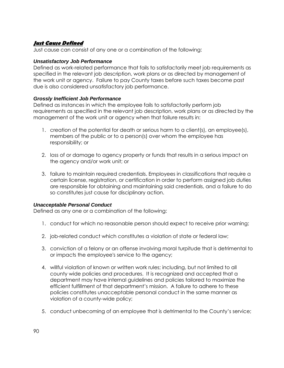### **Just Cause Defined**

Just cause can consist of any one or a combination of the following:

#### **Unsatisfactory Job Performance**

Defined as work-related performance that fails to satisfactorily meet job requirements as specified in the relevant job description, work plans or as directed by management of the work unit or agency. Failure to pay County taxes before such taxes become past due is also considered unsatisfactory job performance.

#### **Grossly Inefficient Job Performance**

Defined as instances in which the employee fails to satisfactorily perform job requirements as specified in the relevant job description, work plans or as directed by the management of the work unit or agency when that failure results in:

- 1. creation of the potential for death or serious harm to a client(s), an employee(s), members of the public or to a person(s) over whom the employee has responsibility; or
- 2. loss of or damage to agency property or funds that results in a serious impact on the agency and/or work unit; or
- 3. failure to maintain required credentials. Employees in classifications that require a certain license, registration, or certification in order to perform assigned job duties are responsible for obtaining and maintaining said credentials, and a failure to do so constitutes just cause for disciplinary action.

### **Unacceptable Personal Conduct**

Defined as any one or a combination of the following:

- 1. conduct for which no reasonable person should expect to receive prior warning;
- 2. job-related conduct which constitutes a violation of state or federal law;
- 3. conviction of a felony or an offense involving moral turpitude that is detrimental to or impacts the employee's service to the agency;
- 4. willful violation of known or written work rules; including, but not limited to all county wide policies and procedures. It is recognized and accepted that a department may have internal guidelines and policies tailored to maximize the efficient fulfillment of that department's mission. A failure to adhere to these policies constitutes unacceptable personal conduct in the same manner as violation of a county-wide policy;
- 5. conduct unbecoming of an employee that is detrimental to the County's service;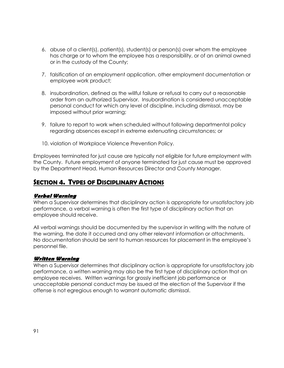- 6. abuse of a client(s), patient(s), student(s) or person(s) over whom the employee has charge or to whom the employee has a responsibility, or of an animal owned or in the custody of the County;
- 7. falsification of an employment application, other employment documentation or employee work product;
- 8. insubordination, defined as the willful failure or refusal to carry out a reasonable order from an authorized Supervisor. Insubordination is considered unacceptable personal conduct for which any level of discipline, including dismissal, may be imposed without prior warning;
- 9. failure to report to work when scheduled without following departmental policy regarding absences except in extreme extenuating circumstances; or
- 10. violation of Workplace Violence Prevention Policy.

Employees terminated for just cause are typically not eligible for future employment with the County. Future employment of anyone terminated for just cause must be approved by the Department Head, Human Resources Director and County Manager.

### *SECTION 4. TYPES OF DISCIPLINARY ACTIONS*

#### **Verbal Warning**

When a Supervisor determines that disciplinary action is appropriate for unsatisfactory job performance, a verbal warning is often the first type of disciplinary action that an employee should receive.

All verbal warnings should be documented by the supervisor in writing with the nature of the warning, the date it occurred and any other relevant information or attachments. No documentation should be sent to human resources for placement in the employee's personnel file.

### **Written Warning**

When a Supervisor determines that disciplinary action is appropriate for unsatisfactory job performance, a written warning may also be the first type of disciplinary action that an employee receives. Written warnings for grossly inefficient job performance or unacceptable personal conduct may be issued at the election of the Supervisor if the offense is not egregious enough to warrant automatic dismissal.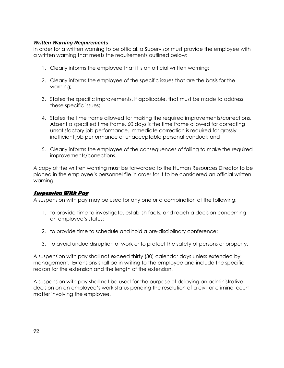#### **Written Warning Requirements**

In order for a written warning to be official, a Supervisor must provide the employee with a written warning that meets the requirements outlined below:

- 1. Clearly informs the employee that it is an official written warning;
- 2. Clearly informs the employee of the specific issues that are the basis for the warning;
- 3. States the specific improvements, if applicable, that must be made to address these specific issues;
- 4. States the time frame allowed for making the required improvements/corrections. Absent a specified time frame, 60 days is the time frame allowed for correcting unsatisfactory job performance. Immediate correction is required for grossly inefficient job performance or unacceptable personal conduct; and
- 5. Clearly informs the employee of the consequences of failing to make the required improvements/corrections.

A copy of the written warning must be forwarded to the Human Resources Director to be placed in the employee's personnel file in order for it to be considered an official written warning.

#### **Suspension With Pay**

A suspension with pay may be used for any one or a combination of the following:

- 1. to provide time to investigate, establish facts, and reach a decision concerning an employee's status;
- 2. to provide time to schedule and hold a pre-disciplinary conference;
- 3. to avoid undue disruption of work or to protect the safety of persons or property.

A suspension with pay shall not exceed thirty (30) calendar days unless extended by management. Extensions shall be in writing to the employee and include the specific reason for the extension and the length of the extension.

A suspension with pay shall not be used for the purpose of delaying an administrative decision on an employee's work status pending the resolution of a civil or criminal court matter involving the employee.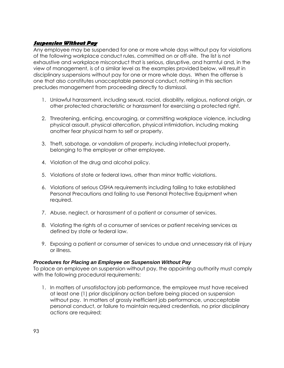### **Suspension Without Pay**

Any employee may be suspended for one or more whole days without pay for violations of the following workplace conduct rules, committed on or off-site. The list is not exhaustive and workplace misconduct that is serious, disruptive, and harmful and, in the view of management, is of a similar level as the examples provided below, will result in disciplinary suspensions without pay for one or more whole days. When the offense is one that also constitutes unacceptable personal conduct, nothing in this section precludes management from proceeding directly to dismissal.

- 1. Unlawful harassment, including sexual, racial, disability, religious, national origin, or other protected characteristic or harassment for exercising a protected right.
- 2. Threatening, enticing, encouraging, or committing workplace violence, including physical assault, physical altercation, physical intimidation, including making another fear physical harm to self or property.
- 3. Theft, sabotage, or vandalism of property, including intellectual property, belonging to the employer or other employee.
- 4. Violation of the drug and alcohol policy.
- 5. Violations of state or federal laws, other than minor traffic violations.
- 6. Violations of serious OSHA requirements including failing to take established Personal Precautions and failing to use Personal Protective Equipment when required.
- 7. Abuse, neglect, or harassment of a patient or consumer of services.
- 8. Violating the rights of a consumer of services or patient receiving services as defined by state or federal law.
- 9. Exposing a patient or consumer of services to undue and unnecessary risk of injury or illness.

### **Procedures for Placing an Employee on Suspension Without Pay**

To place an employee on suspension without pay, the appointing authority must comply with the following procedural requirements:

1. In matters of unsatisfactory job performance, the employee must have received at least one (1) prior disciplinary action before being placed on suspension without pay. In matters of grossly inefficient job performance, unacceptable personal conduct, or failure to maintain required credentials, no prior disciplinary actions are required;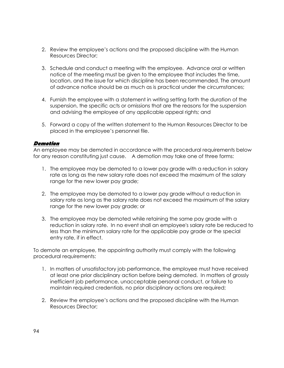- 2. Review the employee's actions and the proposed discipline with the Human Resources Director;
- 3. Schedule and conduct a meeting with the employee. Advance oral or written notice of the meeting must be given to the employee that includes the time, location, and the issue for which discipline has been recommended. The amount of advance notice should be as much as is practical under the circumstances;
- 4. Furnish the employee with a statement in writing setting forth the duration of the suspension, the specific acts or omissions that are the reasons for the suspension and advising the employee of any applicable appeal rights; and
- 5. Forward a copy of the written statement to the Human Resources Director to be placed in the employee's personnel file.

#### **Demotion**

An employee may be demoted in accordance with the procedural requirements below for any reason constituting just cause. A demotion may take one of three forms:

- 1. The employee may be demoted to a lower pay grade with a reduction in salary rate as long as the new salary rate does not exceed the maximum of the salary range for the new lower pay grade;
- 2. The employee may be demoted to a lower pay grade without a reduction in salary rate as long as the salary rate does not exceed the maximum of the salary range for the new lower pay grade; or
- 3. The employee may be demoted while retaining the same pay grade with a reduction in salary rate. In no event shall an employee's salary rate be reduced to less than the minimum salary rate for the applicable pay grade or the special entry rate, if in effect.

To demote an employee, the appointing authority must comply with the following procedural requirements:

- 1. In matters of unsatisfactory job performance, the employee must have received at least one prior disciplinary action before being demoted. In matters of grossly inefficient job performance, unacceptable personal conduct, or failure to maintain required credentials, no prior disciplinary actions are required;
- 2. Review the employee's actions and the proposed discipline with the Human Resources Director;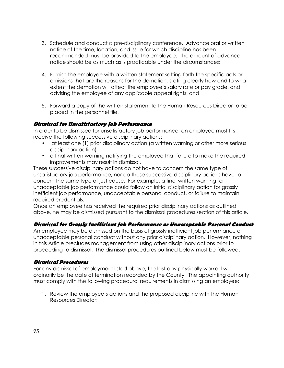- 3. Schedule and conduct a pre-disciplinary conference. Advance oral or written notice of the time, location, and issue for which discipline has been recommended must be provided to the employee. The amount of advance notice should be as much as is practicable under the circumstances;
- 4. Furnish the employee with a written statement setting forth the specific acts or omissions that are the reasons for the demotion, stating clearly how and to what extent the demotion will affect the employee's salary rate or pay grade, and advising the employee of any applicable appeal rights; and
- 5. Forward a copy of the written statement to the Human Resources Director to be placed in the personnel file.

### **Dismissal for Unsatisfactory Job Performance**

In order to be dismissed for unsatisfactory job performance, an employee must first receive the following successive disciplinary actions:

- at least one (1) prior disciplinary action (a written warning or other more serious disciplinary action)
- a final written warning notifying the employee that failure to make the required improvements may result in dismissal.

These successive disciplinary actions do not have to concern the same type of unsatisfactory job performance, nor do these successive disciplinary actions have to concern the same type of just cause. For example, a final written warning for unacceptable job performance could follow an initial disciplinary action for grossly inefficient job performance, unacceptable personal conduct, or failure to maintain required credentials.

Once an employee has received the required prior disciplinary actions as outlined above, he may be dismissed pursuant to the dismissal procedures section of this article.

### **Dismissal for Grossly Inefficient Job Performance or Unacceptable Personal Conduct**

An employee may be dismissed on the basis of grossly inefficient job performance or unacceptable personal conduct without any prior disciplinary action. However, nothing in this Article precludes management from using other disciplinary actions prior to proceeding to dismissal. The dismissal procedures outlined below must be followed.

### **Dismissal Procedures**

For any dismissal of employment listed above, the last day physically worked will ordinarily be the date of termination recorded by the County. The appointing authority must comply with the following procedural requirements in dismissing an employee:

1. Review the employee's actions and the proposed discipline with the Human Resources Director;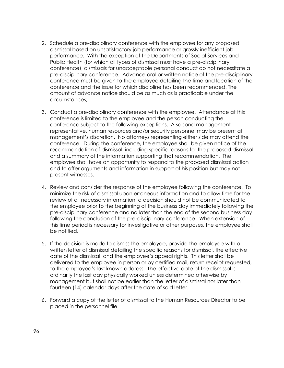- 2. Schedule a pre-disciplinary conference with the employee for any proposed dismissal based on unsatisfactory job performance or grossly inefficient job performance. With the exception of the Departments of Social Services and Public Health (for which all types of dismissal must have a pre-disciplinary conference), dismissals for unacceptable personal conduct do not necessitate a pre-disciplinary conference. Advance oral or written notice of the pre-disciplinary conference must be given to the employee detailing the time and location of the conference and the issue for which discipline has been recommended. The amount of advance notice should be as much as is practicable under the circumstances;
- 3. Conduct a pre-disciplinary conference with the employee. Attendance at this conference is limited to the employee and the person conducting the conference subject to the following exceptions. A second management representative, human resources and/or security personnel may be present at management's discretion. No attorneys representing either side may attend the conference. During the conference, the employee shall be given notice of the recommendation of dismissal, including specific reasons for the proposed dismissal and a summary of the information supporting that recommendation. The employee shall have an opportunity to respond to the proposed dismissal action and to offer arguments and information in support of his position but may not present witnesses.
- 4. Review and consider the response of the employee following the conference. To minimize the risk of dismissal upon erroneous information and to allow time for the review of all necessary information, a decision should not be communicated to the employee prior to the beginning of the business day immediately following the pre-disciplinary conference and no later than the end of the second business day following the conclusion of the pre-disciplinary conference. When extension of this time period is necessary for investigative or other purposes, the employee shall be notified.
- 5. If the decision is made to dismiss the employee, provide the employee with a written letter of dismissal detailing the specific reasons for dismissal, the effective date of the dismissal, and the employee's appeal rights. This letter shall be delivered to the employee in person or by certified mail, return receipt requested, to the employee's last known address. The effective date of the dismissal is ordinarily the last day physically worked unless determined otherwise by management but shall not be earlier than the letter of dismissal nor later than fourteen (14) calendar days after the date of said letter.
- 6. Forward a copy of the letter of dismissal to the Human Resources Director to be placed in the personnel file.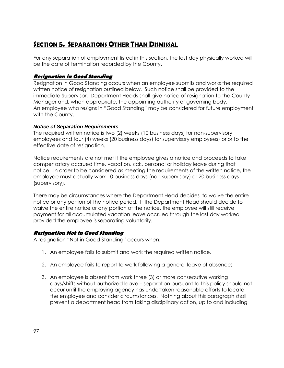## *SECTION 5. SEPARATIONS OTHER THAN DISMISSAL*

For any separation of employment listed in this section, the last day physically worked will be the date of termination recorded by the County.

### **Resignation in Good Standing**

Resignation in Good Standing occurs when an employee submits and works the required written notice of resignation outlined below. Such notice shall be provided to the immediate Supervisor. Department Heads shall give notice of resignation to the County Manager and, when appropriate, the appointing authority or governing body. An employee who resigns in "Good Standing" may be considered for future employment with the County.

### **Notice of Separation Requirements**

The required written notice is two (2) weeks (10 business days) for non-supervisory employees and four (4) weeks (20 business days) for supervisory employees) prior to the effective date of resignation.

Notice requirements are not met if the employee gives a notice and proceeds to take compensatory accrued time, vacation, sick, personal or holiday leave during that notice. In order to be considered as meeting the requirements of the written notice, the employee must actually work 10 business days (non-supervisory) or 20 business days (supervisory).

There may be circumstances where the Department Head decides to waive the entire notice or any portion of the notice period. If the Department Head should decide to waive the entire notice or any portion of the notice, the employee will still receive payment for all accumulated vacation leave accrued through the last day worked provided the employee is separating voluntarily.

### **Resignation Not in Good Standing**

A resignation "Not in Good Standing" occurs when:

- 1. An employee fails to submit and work the required written notice.
- 2. An employee fails to report to work following a general leave of absence;
- 3. An employee is absent from work three (3) or more consecutive working days/shifts without authorized leave – separation pursuant to this policy should not occur until the employing agency has undertaken reasonable efforts to locate the employee and consider circumstances. Nothing about this paragraph shall prevent a department head from taking disciplinary action, up to and including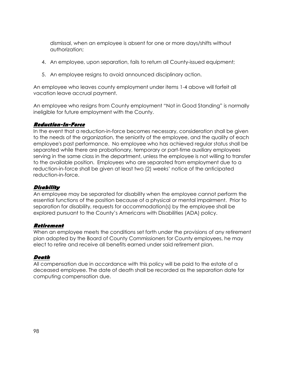dismissal, when an employee is absent for one or more days/shifts without authorization;

- 4. An employee, upon separation, fails to return all County-issued equipment;
- 5. An employee resigns to avoid announced disciplinary action.

An employee who leaves county employment under items 1-4 above will forfeit all vacation leave accrual payment.

An employee who resigns from County employment "Not in Good Standing" is normally ineligible for future employment with the County.

#### **Reduction-In-Force**

In the event that a reduction-in-force becomes necessary, consideration shall be given to the needs of the organization, the seniority of the employee, and the quality of each employee's past performance. No employee who has achieved regular status shall be separated while there are probationary, temporary or part-time auxiliary employees serving in the same class in the department, unless the employee is not willing to transfer to the available position. Employees who are separated from employment due to a reduction-in-force shall be given at least two (2) weeks' notice of the anticipated reduction-in-force.

#### **Disability**

An employee may be separated for disability when the employee cannot perform the essential functions of the position because of a physical or mental impairment. Prior to separation for disability, requests for accommodation(s) by the employee shall be explored pursuant to the County's Americans with Disabilities (ADA) policy.

#### **Retirement**

When an employee meets the conditions set forth under the provisions of any retirement plan adopted by the Board of County Commissioners for County employees, he may elect to retire and receive all benefits earned under said retirement plan.

#### **Death**

All compensation due in accordance with this policy will be paid to the estate of a deceased employee. The date of death shall be recorded as the separation date for computing compensation due.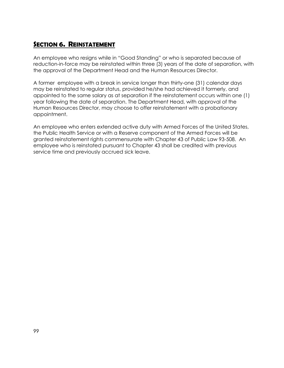## *SECTION 6. REINSTATEMENT*

An employee who resigns while in "Good Standing" or who is separated because of reduction-in-force may be reinstated within three (3) years of the date of separation, with the approval of the Department Head and the Human Resources Director.

A former employee with a break in service longer than thirty-one (31) calendar days may be reinstated to regular status, provided he/she had achieved it formerly, and appointed to the same salary as at separation if the reinstatement occurs within one (1) year following the date of separation. The Department Head, with approval of the Human Resources Director, may choose to offer reinstatement with a probationary appointment.

An employee who enters extended active duty with Armed Forces of the United States, the Public Health Service or with a Reserve component of the Armed Forces will be granted reinstatement rights commensurate with Chapter 43 of Public Law 93-508. An employee who is reinstated pursuant to Chapter 43 shall be credited with previous service time and previously accrued sick leave.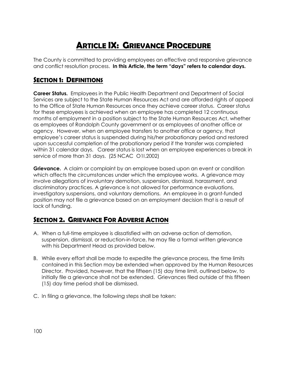# *ARTICLE IX: GRIEVANCE PROCEDURE*

The County is committed to providing employees an effective and responsive grievance and conflict resolution process. **In this Article, the term "days" refers to calendar days.** 

## *SECTION 1: DEFINITIONS*

**Career Status.** Employees in the Public Health Department and Department of Social Services are subject to the State Human Resources Act and are afforded rights of appeal to the Office of State Human Resources once they achieve career status. Career status for these employees is achieved when an employee has completed 12 continuous months of employment in a position subject to the State Human Resources Act, whether as employees of Randolph County government or as employees of another office or agency. However, when an employee transfers to another office or agency, that employee's career status is suspended during his/her probationary period and restored upon successful completion of the probationary period if the transfer was completed within 31 calendar days. Career status is lost when an employee experiences a break in service of more than 31 days. (25 NCAC O1I.2002)

**Grievance.** A claim or complaint by an employee based upon an event or condition which affects the circumstances under which the employee works. A grievance may involve allegations of involuntary demotion, suspension, dismissal, harassment, and discriminatory practices. A grievance is not allowed for performance evaluations, investigatory suspensions, and voluntary demotions. An employee in a grant-funded position may not file a grievance based on an employment decision that is a result of lack of funding.

## *SECTION 2. GRIEVANCE FOR ADVERSE ACTION*

- A. When a full-time employee is dissatisfied with an adverse action of demotion, suspension, dismissal, or reduction-in-force, he may file a formal written grievance with his Department Head as provided below.
- B. While every effort shall be made to expedite the grievance process, the time limits contained in this Section may be extended when approved by the Human Resources Director. Provided, however, that the fifteen (15) day time limit, outlined below, to initially file a grievance shall not be extended. Grievances filed outside of this fifteen (15) day time period shall be dismissed.
- C. In filing a grievance, the following steps shall be taken: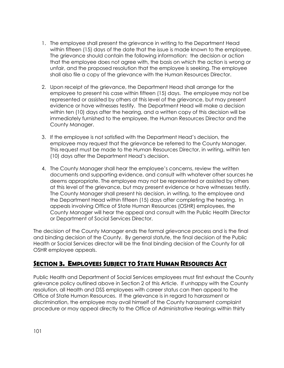- 1. The employee shall present the grievance in writing to the Department Head within fifteen (15) days of the date that the issue is made known to the employee. The grievance should contain the following information: the decision or action that the employee does not agree with, the basis on which the action is wrong or unfair, and the proposed resolution that the employee is seeking. The employee shall also file a copy of the grievance with the Human Resources Director.
- 2. Upon receipt of the grievance, the Department Head shall arrange for the employee to present his case within fifteen (15) days. The employee may not be represented or assisted by others at this level of the grievance, but may present evidence or have witnesses testify. The Department Head will make a decision within ten (10) days after the hearing, and a written copy of this decision will be immediately furnished to the employee, the Human Resources Director and the County Manager.
- 3. If the employee is not satisfied with the Department Head's decision, the employee may request that the grievance be referred to the County Manager. This request must be made to the Human Resources Director, in writing, within ten (10) days after the Department Head's decision.
- 4. The County Manager shall hear the employee's concerns, review the written documents and supporting evidence, and consult with whatever other sources he deems appropriate. The employee may not be represented or assisted by others at this level of the grievance, but may present evidence or have witnesses testify. The County Manager shall present his decision, in writing, to the employee and the Department Head within fifteen (15) days after completing the hearing. In appeals involving Office of State Human Resources (OSHR) employees, the County Manager will hear the appeal and consult with the Public Health Director or Department of Social Services Director.

The decision of the County Manager ends the formal grievance process and is the final and binding decision of the County. By general statute, the final decision of the Public Health or Social Services director will be the final binding decision of the County for all OSHR employee appeals.

### *SECTION 3. EMPLOYEES SUBJECT TO STATE HUMAN RESOURCES ACT*

Public Health and Department of Social Services employees must first exhaust the County grievance policy outlined above in Section 2 of this Article. If unhappy with the County resolution, all Health and DSS employees with career status can then appeal to the Office of State Human Resources. If the grievance is in regard to harassment or discrimination, the employee may avail himself of the County harassment complaint procedure or may appeal directly to the Office of Administrative Hearings within thirty